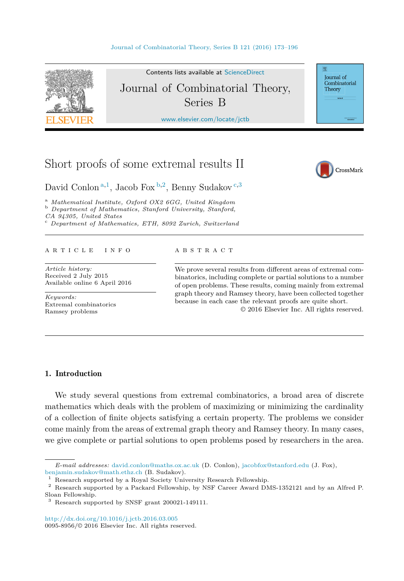

Contents lists available at [ScienceDirect](http://www.ScienceDirect.com/) Journal of Combinatorial Theory, Series B

[www.elsevier.com/locate/jctb](http://www.elsevier.com/locate/jctb)

# Short proofs of some extremal results II



Journal of Combinatorial Theory

David Conlon <sup>a,1</sup>, Jacob Fox <sup>b,2</sup>, Benny Sudakov<sup>c,3</sup>

<sup>a</sup> *Mathematical Institute, Oxford OX2 6GG, United Kingdom* <sup>b</sup> *Department of Mathematics, Stanford University, Stanford, CA 94305, United States* <sup>c</sup> *Department of Mathematics, ETH, <sup>8092</sup> Zurich, Switzerland*

## A R T I C L E I N F O A B S T R A C T

*Article history:* Received 2 July 2015 Available online 6 April 2016

*Keywords:* Extremal combinatorics Ramsey problems

We prove several results from different areas of extremal combinatorics, including complete or partial solutions to a number of open problems. These results, coming mainly from extremal graph theory and Ramsey theory, have been collected together because in each case the relevant proofs are quite short.

© 2016 Elsevier Inc. All rights reserved.

## 1. Introduction

We study several questions from extremal combinatorics, a broad area of discrete mathematics which deals with the problem of maximizing or minimizing the cardinality of a collection of finite objects satisfying a certain property. The problems we consider come mainly from the areas of extremal graph theory and Ramsey theory. In many cases, we give complete or partial solutions to open problems posed by researchers in the area.

*E-mail addresses:* [david.conlon@maths.ox.ac.uk](mailto:david.conlon@maths.ox.ac.uk) (D. Conlon), [jacobfox@stanford.edu](mailto:jacobfox@stanford.edu) (J. Fox), [benjamin.sudakov@math.ethz.ch](mailto:benjamin.sudakov@math.ethz.ch) (B. Sudakov).

<sup>1</sup> Research supported by a Royal Society University Research Fellowship.

<sup>2</sup> Research supported by a Packard Fellowship, by NSF Career Award DMS-1352121 and by an Alfred P. Sloan Fellowship.

<sup>3</sup> Research supported by SNSF grant 200021-149111.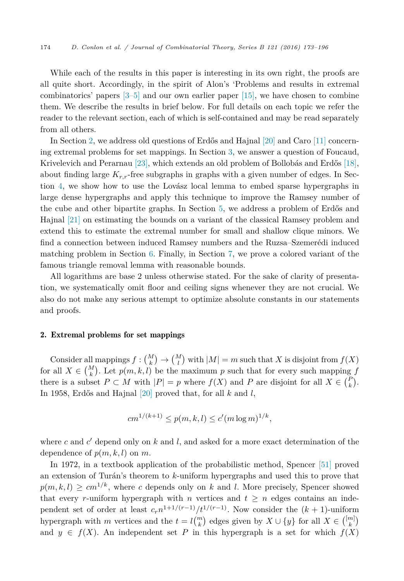While each of the results in this paper is interesting in its own right, the proofs are all quite short. Accordingly, in the spirit of Alon's 'Problems and results in extremal combinatorics' papers  $[3-5]$  and our own earlier paper  $[15]$ , we have chosen to combine them. We describe the results in brief below. For full details on each topic we refer the reader to the relevant section, each of which is self-contained and may be read separately from all others.

In Section 2, we address old questions of Erdős and Hajnal [\[20\]](#page-22-0) and Caro [\[11\]](#page-22-0) concerning extremal problems for set mappings. In Section [3,](#page-3-0) we answer a question of Foucaud, Krivelevich and Perarnau [\[23\],](#page-22-0) which extends an old problem of Bollobás and Erdős [\[18\],](#page-22-0) about finding large *Kr,r*-free subgraphs in graphs with a given number of edges. In Section [4,](#page-7-0) we show how to use the Lovász local lemma to embed sparse hypergraphs in large dense hypergraphs and apply this technique to improve the Ramsey number of the cube and other bipartite graphs. In Section [5,](#page-11-0) we address a problem of Erdős and Hajnal [\[21\]](#page-22-0) on estimating the bounds on a variant of the classical Ramsey problem and extend this to estimate the extremal number for small and shallow clique minors. We find a connection between induced Ramsey numbers and the Ruzsa–Szemerédi induced matching problem in Section [6.](#page-16-0) Finally, in Section [7,](#page-18-0) we prove a colored variant of the famous triangle removal lemma with reasonable bounds.

All logarithms are base 2 unless otherwise stated. For the sake of clarity of presentation, we systematically omit floor and ceiling signs whenever they are not crucial. We also do not make any serious attempt to optimize absolute constants in our statements and proofs.

## 2. Extremal problems for set mappings

Consider all mappings  $f: \binom{M}{k} \to \binom{M}{l}$  with  $|M| = m$  such that *X* is disjoint from  $f(X)$ for all  $X \in \binom{M}{k}$ . Let  $p(m, k, l)$  be the maximum p such that for every such mapping f there is a subset  $P \subset M$  with  $|P| = p$  where  $f(X)$  and  $P$  are disjoint for all  $X \in {P \choose k}$ . In 1958, Erdős and Hajnal [\[20\]](#page-22-0) proved that, for all *k* and *l*,

$$
cm^{1/(k+1)} \le p(m, k, l) \le c'(m \log m)^{1/k},
$$

where  $c$  and  $c'$  depend only on  $k$  and  $l$ , and asked for a more exact determination of the dependence of  $p(m, k, l)$  on  $m$ .

In 1972, in a textbook application of the probabilistic method, Spencer [\[51\]](#page-23-0) proved an extension of Turán's theorem to *k*-uniform hypergraphs and used this to prove that  $p(m, k, l) \geq cm^{1/k}$ , where *c* depends only on *k* and *l*. More precisely, Spencer showed that every *r*-uniform hypergraph with *n* vertices and  $t \geq n$  edges contains an independent set of order at least  $c_r n^{1+1/(r-1)}/t^{1/(r-1)}$ . Now consider the  $(k+1)$ -uniform hypergraph with *m* vertices and the  $t = l {m \choose k}$  edges given by  $X \cup \{y\}$  for all  $X \in {m \choose k}$ and  $y \in f(X)$ . An independent set P in this hypergraph is a set for which  $f(X)$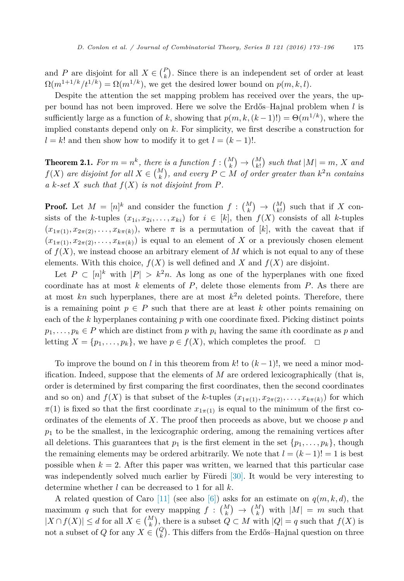and *P* are disjoint for all  $X \in \binom{P}{k}$ . Since there is an independent set of order at least  $\Omega(m^{1+1/k}/t^{1/k}) = \Omega(m^{1/k})$ , we get the desired lower bound on  $p(m, k, l)$ .

Despite the attention the set mapping problem has received over the years, the upper bound has not been improved. Here we solve the Erdős–Hajnal problem when *l* is sufficiently large as a function of *k*, showing that  $p(m, k, (k-1)!) = \Theta(m^{1/k})$ , where the implied constants depend only on *k*. For simplicity, we first describe a construction for  $l = k!$  and then show how to modify it to get  $l = (k - 1)!$ .

**Theorem 2.1.** For  $m = n^k$ , there is a function  $f: \binom{M}{k} \to \binom{M}{k!}$  such that  $|M| = m$ , X and  $f(X)$  are disjoint for all  $X \in {M \choose k}$ , and every  $P \subset M$  of order greater than  $k^2n$  contains  $a \, k \text{-} set \, X \, such that \, f(X) \, is \, not \, disjoint \, from \, P.$ 

**Proof.** Let  $M = [n]^k$  and consider the function  $f: \binom{M}{k} \to \binom{M}{k}$  such that if *X* consists of the *k*-tuples  $(x_{1i}, x_{2i}, \ldots, x_{ki})$  for  $i \in [k]$ , then  $f(X)$  consists of all *k*-tuples  $(x_{1\pi(1)}, x_{2\pi(2)}, \ldots, x_{k\pi(k)})$ , where  $\pi$  is a permutation of [k], with the caveat that if  $(x_{1\pi(1)}, x_{2\pi(2)}, \ldots, x_{k\pi(k)})$  is equal to an element of X or a previously chosen element of  $f(X)$ , we instead choose an arbitrary element of M which is not equal to any of these elements. With this choice,  $f(X)$  is well defined and X and  $f(X)$  are disjoint.

Let  $P \subset [n]^k$  with  $|P| > k^2n$ . As long as one of the hyperplanes with one fixed coordinate has at most *k* elements of *P*, delete those elements from *P*. As there are at most  $kn$  such hyperplanes, there are at most  $k^2n$  deleted points. Therefore, there is a remaining point  $p \in P$  such that there are at least k other points remaining on each of the *k* hyperplanes containing *p* with one coordinate fixed. Picking distinct points  $p_1, \ldots, p_k \in P$  which are distinct from *p* with  $p_i$  having the same *i*th coordinate as *p* and letting  $X = \{p_1, \ldots, p_k\}$ , we have  $p \in f(X)$ , which completes the proof.  $\Box$ letting  $X = \{p_1, \ldots, p_k\}$ , we have  $p \in f(X)$ , which completes the proof.

To improve the bound on *l* in this theorem from *k*! to (*k* − 1)!, we need a minor modification. Indeed, suppose that the elements of *M* are ordered lexicographically (that is, order is determined by first comparing the first coordinates, then the second coordinates and so on) and  $f(X)$  is that subset of the *k*-tuples  $(x_{1\pi(1)}, x_{2\pi(2)}, \ldots, x_{k\pi(k)})$  for which  $\pi(1)$  is fixed so that the first coordinate  $x_{1\pi(1)}$  is equal to the minimum of the first coordinates of the elements of *X*. The proof then proceeds as above, but we choose *p* and *p*<sup>1</sup> to be the smallest, in the lexicographic ordering, among the remaining vertices after all deletions. This guarantees that  $p_1$  is the first element in the set  $\{p_1, \ldots, p_k\}$ , though the remaining elements may be ordered arbitrarily. We note that  $l = (k-1)! = 1$  is best possible when  $k = 2$ . After this paper was written, we learned that this particular case was independently solved much earlier by Füredi [\[30\].](#page-22-0) It would be very interesting to determine whether *l* can be decreased to 1 for all *k*.

A related question of Caro [\[11\]](#page-22-0) (see also [\[6\]\)](#page-21-0) asks for an estimate on  $q(m, k, d)$ , the maximum *q* such that for every mapping  $f: \binom{M}{k} \to \binom{M}{k}$  with  $|M| = m$  such that  $|X \cap f(X)| \le d$  for all  $X \in \binom{M}{k}$ , there is a subset  $Q \subset M$  with  $|Q| = q$  such that  $f(X)$  is not a subset of *Q* for any  $X \in \binom{Q}{k}$ . This differs from the Erdős–Hajnal question on three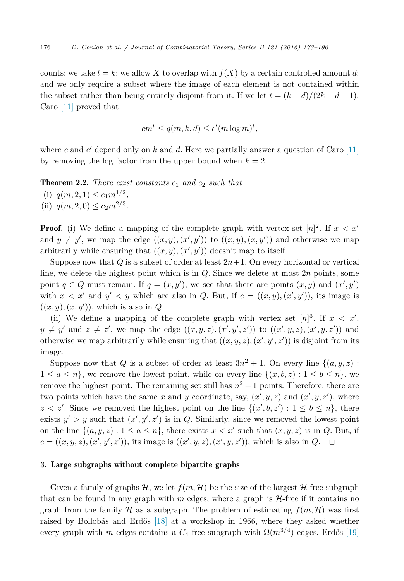<span id="page-3-0"></span>counts: we take  $l = k$ ; we allow X to overlap with  $f(X)$  by a certain controlled amount d; and we only require a subset where the image of each element is not contained within the subset rather than being entirely disjoint from it. If we let  $t = (k - d)/(2k - d - 1)$ , Caro [\[11\]](#page-22-0) proved that

$$
cm^t \le q(m,k,d) \le c'(m \log m)^t,
$$

where *c* and *c*' depend only on *k* and *d*. Here we partially answer a question of Caro  $[11]$ by removing the log factor from the upper bound when  $k = 2$ .

Theorem 2.2. *There exist constants c*<sup>1</sup> *and c*<sup>2</sup> *such that* (i)  $q(m, 2, 1) \leq c_1 m^{1/2}$ , (ii)  $q(m, 2, 0) \leq c_2 m^{2/3}$ .

**Proof.** (i) We define a mapping of the complete graph with vertex set  $[n]^2$ . If  $x < x'$ and  $y \neq y'$ , we map the edge  $((x, y), (x', y'))$  to  $((x, y), (x, y'))$  and otherwise we map arbitrarily while ensuring that  $((x, y), (x', y'))$  doesn't map to itself.

Suppose now that  $Q$  is a subset of order at least  $2n+1$ . On every horizontal or vertical line, we delete the highest point which is in *Q*. Since we delete at most 2*n* points, some point  $q \in Q$  must remain. If  $q = (x, y')$ , we see that there are points  $(x, y)$  and  $(x', y')$ with  $x < x'$  and  $y' < y$  which are also in Q. But, if  $e = ((x, y), (x', y'))$ , its image is  $((x, y), (x, y'))$ , which is also in *Q*.

(ii) We define a mapping of the complete graph with vertex set  $[n]^3$ . If  $x < x'$ ,  $y \neq y'$  and  $z \neq z'$ , we map the edge  $((x, y, z), (x', y', z'))$  to  $((x', y, z), (x', y, z'))$  and otherwise we map arbitrarily while ensuring that  $((x, y, z), (x', y', z'))$  is disjoint from its image.

Suppose now that *Q* is a subset of order at least  $3n^2 + 1$ . On every line  $\{(a, y, z)$ :  $1 \leq a \leq n$ , we remove the lowest point, while on every line  $\{(x, b, z) : 1 \leq b \leq n\}$ , we remove the highest point. The remaining set still has  $n^2 + 1$  points. Therefore, there are two points which have the same x and y coordinate, say,  $(x', y, z)$  and  $(x', y, z')$ , where  $z < z'$ . Since we removed the highest point on the line  $\{(x', b, z') : 1 \le b \le n\}$ , there exists  $y' > y$  such that  $(x', y', z')$  is in *Q*. Similarly, since we removed the lowest point on the line  $\{(a, y, z) : 1 \le a \le n\}$ , there exists  $x < x'$  such that  $(x, y, z)$  is in *Q*. But, if  $e = ((x, y, z), (x', y', z')),$  its image is  $((x', y, z), (x', y, z')),$  which is also in  $Q. \square$ 

## 3. Large subgraphs without complete bipartite graphs

Given a family of graphs  $H$ , we let  $f(m, H)$  be the size of the largest  $H$ -free subgraph that can be found in any graph with  $m$  edges, where a graph is  $H$ -free if it contains no graph from the family H as a subgraph. The problem of estimating  $f(m, \mathcal{H})$  was first raised by Bollobás and Erdős [\[18\]](#page-22-0) at a workshop in 1966, where they asked whether every graph with *m* edges contains a  $C_4$ -free subgraph with  $\Omega(m^{3/4})$  edges. Erdős [\[19\]](#page-22-0)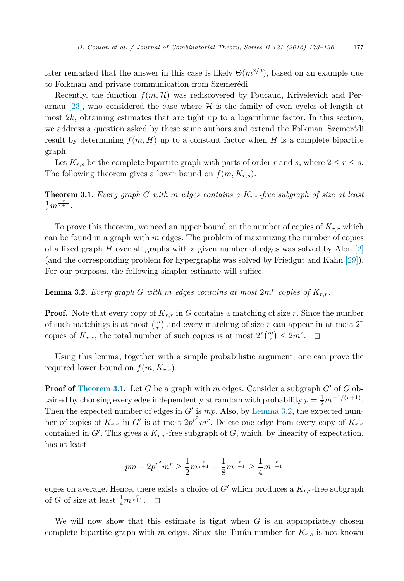later remarked that the answer in this case is likely  $\Theta(m^{2/3})$ , based on an example due to Folkman and private communication from Szemerédi.

Recently, the function  $f(m, \mathcal{H})$  was rediscovered by Foucaud, Krivelevich and Per-arnau [\[23\],](#page-22-0) who considered the case where  $H$  is the family of even cycles of length at most  $2k$ , obtaining estimates that are tight up to a logarithmic factor. In this section, we address a question asked by these same authors and extend the Folkman–Szemerédi result by determining  $f(m, H)$  up to a constant factor when *H* is a complete bipartite graph.

Let  $K_{r,s}$  be the complete bipartite graph with parts of order *r* and *s*, where  $2 \le r \le s$ . The following theorem gives a lower bound on  $f(m, K_{r,s})$ .

Theorem 3.1. *Every graph G with m edges contains a Kr,r-free subgraph of size at least*  $\frac{1}{4}m^{\frac{r}{r+1}}$ .

To prove this theorem, we need an upper bound on the number of copies of *Kr,r* which can be found in a graph with *m* edges. The problem of maximizing the number of copies of a fixed graph *H* over all graphs with a given number of edges was solved by Alon [\[2\]](#page-21-0) (and the corresponding problem for hypergraphs was solved by Friedgut and Kahn [\[29\]\)](#page-22-0). For our purposes, the following simpler estimate will suffice.

**Lemma 3.2.** Every graph G with m edges contains at most  $2m^r$  copies of  $K_{r,r}$ .

**Proof.** Note that every copy of  $K_{r,r}$  in *G* contains a matching of size *r*. Since the number of such matchings is at most  $\binom{m}{r}$  and every matching of size *r* can appear in at most 2<sup>*r*</sup> copies of  $K_{r,r}$ , the total number of such copies is at most  $2^r {m \choose r} \leq 2m^r$ .  $\Box$ 

Using this lemma, together with a simple probabilistic argument, one can prove the required lower bound on  $f(m, K_{r,s})$ .

**Proof of Theorem 3.1.** Let  $G$  be a graph with  $m$  edges. Consider a subgraph  $G'$  of  $G$  obtained by choosing every edge independently at random with probability  $p = \frac{1}{2}m^{-1/(r+1)}$ . Then the expected number of edges in *G*' is *mp*. Also, by Lemma 3.2, the expected number of copies of  $K_{r,r}$  in  $G'$  is at most  $2p^{r^2}m^r$ . Delete one edge from every copy of  $K_{r,r}$ contained in  $G'$ . This gives a  $K_{r,r}$ -free subgraph of  $G$ , which, by linearity of expectation, has at least

$$
pm - 2p^{r^2}m^r \ge \frac{1}{2}m^{\frac{r}{r+1}} - \frac{1}{8}m^{\frac{r}{r+1}} \ge \frac{1}{4}m^{\frac{r}{r+1}}
$$

edges on average. Hence, there exists a choice of  $G'$  which produces a  $K_{r,r}$ -free subgraph of *G* of size at least  $\frac{1}{4}m^{\frac{r}{r+1}}$ .  $\Box$ 

We will now show that this estimate is tight when *G* is an appropriately chosen complete bipartite graph with  $m$  edges. Since the Turán number for  $K_{r,s}$  is not known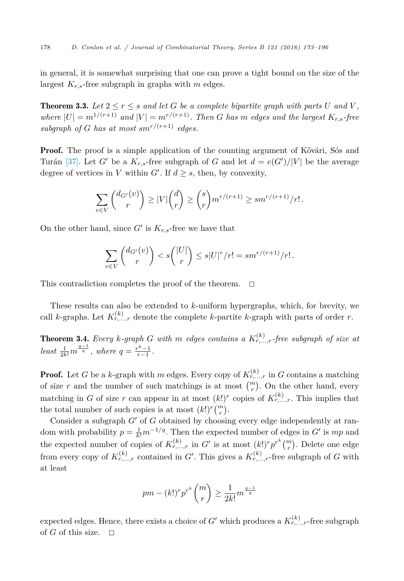in general, it is somewhat surprising that one can prove a tight bound on the size of the largest *Kr,s*-free subgraph in graphs with *m* edges.

**Theorem 3.3.** Let  $2 \le r \le s$  and let G be a complete bipartite graph with parts U and V, where  $|U| = m^{1/(r+1)}$  and  $|V| = m^{r/(r+1)}$ . Then G has m edges and the largest  $K_{r,s}$ -free subgraph of *G* has at most  $sm^{r/(r+1)}$  edges.

**Proof.** The proof is a simple application of the counting argument of Kővári, Sós and Turán [\[37\].](#page-22-0) Let *G*<sup> $\prime$ </sup> be a  $K_{r,s}$ -free subgraph of *G* and let  $d = e(G')/|V|$  be the average degree of vertices in *V* within  $G'$ . If  $d \geq s$ , then, by convexity,

$$
\sum_{v \in V} \binom{d_{G'}(v)}{r} \ge |V| \binom{d}{r} \ge \binom{s}{r} m^{r/(r+1)} \ge sm^{r/(r+1)}/r!.
$$

On the other hand, since  $G'$  is  $K_{r,s}$ -free we have that

$$
\sum_{v \in V} \binom{d_{G'}(v)}{r} < s \binom{|U|}{r} \le s|U|^r/r! = sm^{r/(r+1)}/r!.
$$

This contradiction completes the proof of the theorem.  $\Box$ 

These results can also be extended to *k*-uniform hypergraphs, which, for brevity, we call *k*-graphs. Let  $K_{r,\dots,r}^{(k)}$  denote the complete *k*-partite *k*-graph with parts of order *r*.

**Theorem 3.4.** Every *k*-graph *G* with *m* edges contains a  $K_{r,\dots,r}^{(k)}$ -free subgraph of size at *least*  $\frac{1}{2k!}m^{\frac{q-1}{q}}$ *, where*  $q = \frac{r^k-1}{r-1}$ *.* 

**Proof.** Let *G* be a *k*-graph with *m* edges. Every copy of  $K_{r,\dots,r}^{(k)}$  in *G* contains a matching of size *r* and the number of such matchings is at most  $\binom{m}{r}$ . On the other hand, every matching in *G* of size *r* can appear in at most  $(k!)^r$  copies of  $K_{r,\dots,r}^{(k)}$ . This implies that the total number of such copies is at most  $(k!)^r \binom{m}{r}$ .

Consider a subgraph *G*<sup> $\prime$ </sup> of *G* obtained by choosing every edge independently at random with probability  $p = \frac{1}{k!}m^{-1/q}$ . Then the expected number of edges in *G*<sup>-</sup> is *mp* and the expected number of copies of  $K_{r,\dots,r}^{(k)}$  in *G*<sup>-</sup> is at most  $(k!)^{r} p^{r^{k}} \binom{m}{r}$ . Delete one edge from every copy of  $K_{r,\dots,r}^{(k)}$  contained in *G*<sup>'</sup>. This gives a  $K_{r,\dots,r}^{(k)}$ -free subgraph of *G* with at least

$$
pm - (k!)^r p^{r^k} \binom{m}{r} \ge \frac{1}{2k!} m^{\frac{q-1}{q}}
$$

 $\alpha$  expected edges. Hence, there exists a choice of *G*<sup>'</sup> which produces a  $K_{r,\dots,r}^{(k)}$ -free subgraph of  $G$  of this size.  $\Box$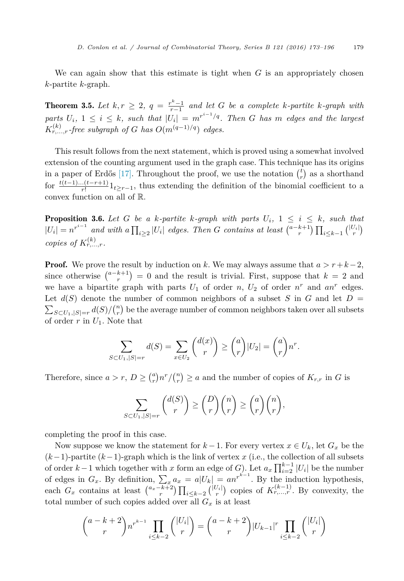We can again show that this estimate is tight when *G* is an appropriately chosen *k*-partite *k*-graph.

**Theorem 3.5.** Let  $k, r ≥ 2, q = \frac{r^k-1}{r-1}$  and let *G* be a complete  $k$ -partite  $k$ -graph with parts  $U_i$ ,  $1 \leq i \leq k$ , such that  $|U_i| = m^{r^{i-1}/q}$ . Then G has m edges and the largest  $K_{r,\dots,r}^{(k)}$ *-free subgraph of G has*  $O(m^{(q-1)/q})$  *edges.* 

This result follows from the next statement, which is proved using a somewhat involved extension of the counting argument used in the graph case. This technique has its origins in a paper of Erdős [\[17\].](#page-22-0) Throughout the proof, we use the notation  $\binom{t}{r}$  as a shorthand for  $\frac{t(t-1)...(t-r+1)}{r!}1_{t\geq r-1}$ , thus extending the definition of the binomial coefficient to a convex function on all of R.

**Proposition 3.6.** Let G be a k-partite k-graph with parts  $U_i$ ,  $1 \leq i \leq k$ , such that  $|U_i|=n^{r^{i-1}}$  and with a  $\prod_{i\geq 2}|U_i|$  edges. Then G contains at least  $\binom{a-k+1}{r}\prod_{i\leq k-1}\binom{|U_i|}{r}$ *copies of*  $K_{r,\ldots,r}^{(k)}$ .

**Proof.** We prove the result by induction on *k*. We may always assume that  $a > r + k - 2$ , since otherwise  $\binom{a-k+1}{r} = 0$  and the result is trivial. First, suppose that  $k = 2$  and we have a bipartite graph with parts  $U_1$  of order  $n$ ,  $U_2$  of order  $n^r$  and  $an^r$  edges. Let  $d(S)$  denote the number of common neighbors of a subset S in G and let  $D =$  $\sum_{S \subset U_1, |S|=r} d(S)/\binom{n}{r}$  be the average number of common neighbors taken over all subsets of order *r* in *U*1. Note that

$$
\sum_{S \subset U_1, |S|=r} d(S) = \sum_{x \in U_2} {d(x) \choose r} \ge {a \choose r} |U_2| = {a \choose r} n^r.
$$

Therefore, since  $a > r$ ,  $D \ge {a \choose r} n^r / {n \choose r} \ge a$  and the number of copies of  $K_{r,r}$  in *G* is

$$
\sum_{S \subset U_1, |S|=r} \binom{d(S)}{r} \ge \binom{D}{r} \binom{n}{r} \ge \binom{a}{r} \binom{n}{r},
$$

completing the proof in this case.

Now suppose we know the statement for  $k-1$ . For every vertex  $x \in U_k$ , let  $G_x$  be the (*k*−1)-partite (*k*−1)-graph which is the link of vertex *x* (i.e., the collection of all subsets of order  $k-1$  which together with *x* form an edge of *G*). Let  $a_x \prod_{i=2}^{k-1} |U_i|$  be the number of edges in  $G_x$ . By definition,  $\sum_{x} a_x = a |U_k| = an^{r^{k-1}}$ . By the induction hypothesis, each  $G_x$  contains at least  $\binom{a_x-k+2}{r}\prod_{i\leq k-2}\binom{|U_i|}{r}$  copies of  $K_{r,\ldots,r}^{(k-1)}$ . By convexity, the total number of such copies added over all  $G_x$  is at least

$$
\binom{a-k+2}{r} n^{r^{k-1}} \prod_{i \le k-2} \binom{|U_i|}{r} = \binom{a-k+2}{r} |U_{k-1}|^r \prod_{i \le k-2} \binom{|U_i|}{r}
$$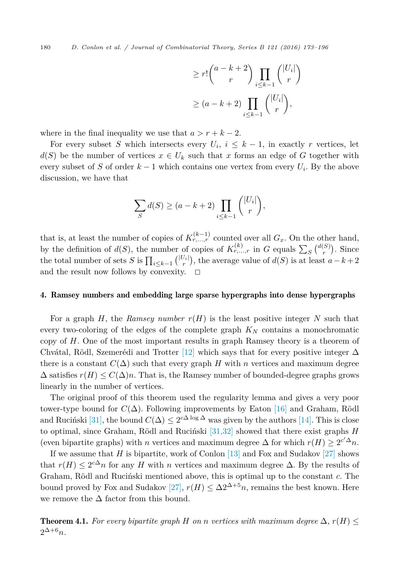<span id="page-7-0"></span>180 *D. Conlon et al. / Journal of Combinatorial Theory, Series B 121 (2016) 173–196*

$$
\geq r! \binom{a-k+2}{r} \prod_{i \leq k-1} \binom{|U_i|}{r}
$$

$$
\geq (a-k+2) \prod_{i \leq k-1} \binom{|U_i|}{r},
$$

where in the final inequality we use that  $a > r + k - 2$ .

For every subset *S* which intersects every  $U_i$ ,  $i \leq k-1$ , in exactly *r* vertices, let  $d(S)$  be the number of vertices  $x \in U_k$  such that *x* forms an edge of *G* together with every subset of *S* of order  $k-1$  which contains one vertex from every  $U_i$ . By the above discussion, we have that

$$
\sum_{S} d(S) \ge (a - k + 2) \prod_{i \le k-1} \binom{|U_i|}{r},
$$

that is, at least the number of copies of  $K_{r,\ldots,r}^{(k-1)}$  counted over all  $G_x$ . On the other hand, by the definition of  $d(S)$ , the number of copies of  $K_{r,\dots,r}^{(k)}$  in *G* equals  $\sum_{S} {d(S) \choose r}$ . Since the total number of sets *S* is  $\prod_{i \leq k-1} { |U_i| \choose r}$ , the average value of  $d(S)$  is at least  $a - k + 2$ and the result now follows by convexity.  $\Box$ 

## 4. Ramsey numbers and embedding large sparse hypergraphs into dense hypergraphs

For a graph *H*, the *Ramsey number*  $r(H)$  is the least positive integer *N* such that every two-coloring of the edges of the complete graph *K<sup>N</sup>* contains a monochromatic copy of *H*. One of the most important results in graph Ramsey theory is a theorem of Chvátal, Rödl, Szemerédi and Trotter [\[12\]](#page-22-0) which says that for every positive integer  $\Delta$ there is a constant  $C(\Delta)$  such that every graph *H* with *n* vertices and maximum degree  $\Delta$  satisfies  $r(H) \leq C(\Delta)n$ . That is, the Ramsey number of bounded-degree graphs grows linearly in the number of vertices.

The original proof of this theorem used the regularity lemma and gives a very poor tower-type bound for  $C(\Delta)$ . Following improvements by Eaton [\[16\]](#page-22-0) and Graham, Rödl and Ruciński [\[31\],](#page-22-0) the bound  $C(\Delta) \leq 2^{c\Delta \log \Delta}$  was given by the authors [\[14\].](#page-22-0) This is close to optimal, since Graham, Rödl and Ruciński [\[31,32\]](#page-22-0) showed that there exist graphs *H* (even bipartite graphs) with *n* vertices and maximum degree  $\Delta$  for which  $r(H) \geq 2^{c'\Delta}n$ .

If we assume that *H* is bipartite, work of Conlon [\[13\]](#page-22-0) and Fox and Sudakov [\[27\]](#page-22-0) shows that  $r(H) \leq 2^{c\Delta}n$  for any *H* with *n* vertices and maximum degree  $\Delta$ . By the results of Graham, Rödl and Ruciński mentioned above, this is optimal up to the constant *c*. The bound proved by Fox and Sudakov [\[27\],](#page-22-0)  $r(H) \leq \Delta 2^{\Delta+5} n$ , remains the best known. Here we remove the  $\Delta$  factor from this bound.

**Theorem 4.1.** For every bipartite graph H on n vertices with maximum degree  $\Delta$ ,  $r(H) \leq$  $2^{\Delta+6}n$ *.*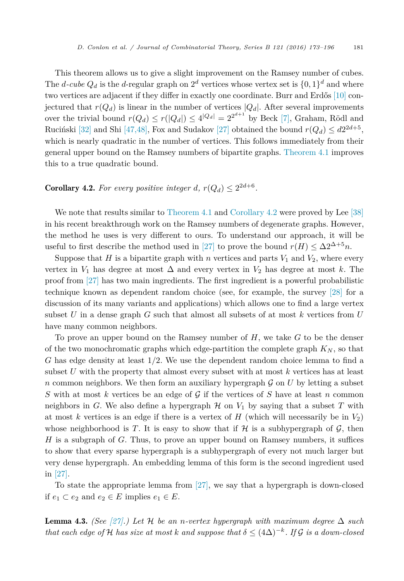<span id="page-8-0"></span>This theorem allows us to give a slight improvement on the Ramsey number of cubes. The *d*-cube  $Q_d$  is the *d*-regular graph on  $2^d$  vertices whose vertex set is  $\{0, 1\}^d$  and where two vertices are adjacent if they differ in exactly one coordinate. Burr and Erdős [\[10\]](#page-21-0) conjectured that  $r(Q_d)$  is linear in the number of vertices  $|Q_d|$ . After several improvements over the trivial bound  $r(Q_d) \le r(|Q_d|) \le 4^{|Q_d|} = 2^{2^{d+1}}$  by Beck [\[7\],](#page-21-0) Graham, Rödl and Ruciński [\[32\]](#page-22-0) and Shi [\[47,48\],](#page-23-0) Fox and Sudakov [\[27\]](#page-22-0) obtained the bound  $r(Q_d) \leq d2^{2d+5}$ , which is nearly quadratic in the number of vertices. This follows immediately from their general upper bound on the Ramsey numbers of bipartite graphs. [Theorem 4.1](#page-7-0) improves this to a true quadratic bound.

## **Corollary 4.2.** For every positive integer *d*,  $r(Q_d) \leq 2^{2d+6}$ .

We note that results similar to [Theorem 4.1](#page-7-0) and Corollary 4.2 were proved by Lee [\[38\]](#page-22-0) in his recent breakthrough work on the Ramsey numbers of degenerate graphs. However, the method he uses is very different to ours. To understand our approach, it will be useful to first describe the method used in [\[27\]](#page-22-0) to prove the bound  $r(H) \leq \Delta 2^{\Delta+5}n$ .

Suppose that *H* is a bipartite graph with *n* vertices and parts  $V_1$  and  $V_2$ , where every vertex in  $V_1$  has degree at most  $\Delta$  and every vertex in  $V_2$  has degree at most  $k$ . The proof from [\[27\]](#page-22-0) has two main ingredients. The first ingredient is a powerful probabilistic technique known as dependent random choice (see, for example, the survey [\[28\]](#page-22-0) for a discussion of its many variants and applications) which allows one to find a large vertex subset *U* in a dense graph *G* such that almost all subsets of at most *k* vertices from *U* have many common neighbors.

To prove an upper bound on the Ramsey number of *H*, we take *G* to be the denser of the two monochromatic graphs which edge-partition the complete graph  $K_N$ , so that *G* has edge density at least 1*/*2. We use the dependent random choice lemma to find a subset *U* with the property that almost every subset with at most *k* vertices has at least *n* common neighbors. We then form an auxiliary hypergraph  $\mathcal G$  on  $U$  by letting a subset *S* with at most *k* vertices be an edge of G if the vertices of *S* have at least *n* common neighbors in *G*. We also define a hypergraph  $H$  on  $V_1$  by saying that a subset *T* with at most *k* vertices is an edge if there is a vertex of  $H$  (which will necessarily be in  $V_2$ ) whose neighborhood is *T*. It is easy to show that if  $H$  is a subhypergraph of  $G$ , then *H* is a subgraph of *G*. Thus, to prove an upper bound on Ramsey numbers, it suffices to show that every sparse hypergraph is a subhypergraph of every not much larger but very dense hypergraph. An embedding lemma of this form is the second ingredient used in [\[27\].](#page-22-0)

To state the appropriate lemma from [\[27\],](#page-22-0) we say that a hypergraph is down-closed if *e*<sub>1</sub> ⊂ *e*<sub>2</sub> and *e*<sub>2</sub> ∈ *E* implies *e*<sub>1</sub> ∈ *E*.

**Lemma 4.3.** *(See*  $[27]$ *.)* Let H be an *n*-vertex hypergraph with maximum degree  $\Delta$  such *that each edge of H has size at most k and suppose that*  $\delta \leq (4\Delta)^{-k}$ *. If* G *is a down-closed*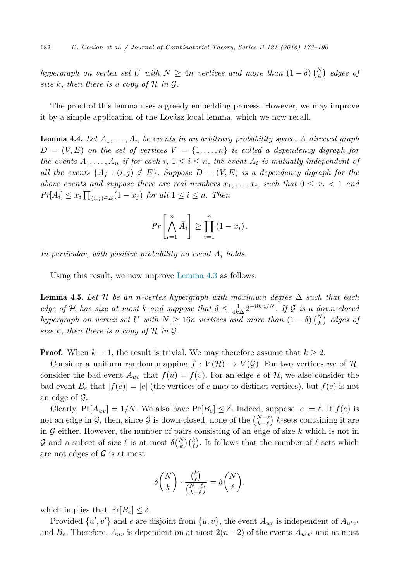<span id="page-9-0"></span> $h$ ypergraph on vertex set *U* with  $N \geq 4n$  vertices and more than  $(1 - \delta) {N \choose k}$  edges of *size*  $k$ *, then there is a copy of*  $H$  *in*  $G$ *.* 

The proof of this lemma uses a greedy embedding process. However, we may improve it by a simple application of the Lovász local lemma, which we now recall.

**Lemma 4.4.** Let  $A_1, \ldots, A_n$  be events in an arbitrary probability space. A directed graph  $D = (V, E)$  *on* the set of vertices  $V = \{1, \ldots, n\}$  is called a dependency digraph for the events  $A_1, \ldots, A_n$  if for each i,  $1 \leq i \leq n$ , the event  $A_i$  is mutually independent of all the events  $\{A_i : (i,j) \notin E\}$ . Suppose  $D = (V, E)$  is a dependency digraph for the *above events* and *suppose there are real numbers*  $x_1, \ldots, x_n$  *such that*  $0 \le x_i \le 1$  *and*  $Pr[A_i] \leq x_i \prod_{(i,j) \in E} (1 - x_j)$  *for all*  $1 \leq i \leq n$ *. Then* 

$$
Pr\left[\bigwedge_{i=1}^{n} \bar{A}_i\right] \geq \prod_{i=1}^{n} (1 - x_i).
$$

*In particular, with positive probability no event A<sup>i</sup> holds.*

Using this result, we now improve [Lemma 4.3](#page-8-0) as follows.

**Lemma 4.5.** Let H be an *n*-vertex hypergraph with maximum degree  $\Delta$  such that each *edge of* H *has size at most k and suppose that*  $\delta \leq \frac{1}{4k\Delta} 2^{-8kn/N}$ . If G *is a down-closed*  $h$ ypergraph on vertex set *U* with  $N \ge 16n$  vertices and more than  $(1 - \delta) {N \choose k}$  edges of *size*  $k$ *, then there is a copy of*  $H$  *in*  $G$ *.* 

**Proof.** When  $k = 1$ , the result is trivial. We may therefore assume that  $k \geq 2$ .

Consider a uniform random mapping  $f: V(\mathcal{H}) \to V(\mathcal{G})$ . For two vertices *uv* of  $\mathcal{H}$ , consider the bad event  $A_{uv}$  that  $f(u) = f(v)$ . For an edge  $e$  of  $H$ , we also consider the bad event  $B_e$  that  $|f(e)| = |e|$  (the vertices of *e* map to distinct vertices), but  $f(e)$  is not an edge of  $\mathcal{G}$ .

Clearly,  $Pr[A_{uv}] = 1/N$ . We also have  $Pr[B_e] \leq \delta$ . Indeed, suppose  $|e| = \ell$ . If  $f(e)$  is not an edge in G, then, since G is down-closed, none of the  $\binom{N-\ell}{k-\ell}$  k-sets containing it are in G either. However, the number of pairs consisting of an edge of size *k* which is not in G and a subset of size  $\ell$  is at most  $\delta\binom{N}{k}\binom{k}{\ell}$ . It follows that the number of  $\ell$ -sets which are not edges of  $\mathcal G$  is at most

$$
\delta \binom{N}{k} \cdot \frac{\binom{k}{\ell}}{\binom{N-\ell}{k-\ell}} = \delta \binom{N}{\ell},
$$

which implies that  $Pr[B_e] \leq \delta$ .

Provided  $\{u', v'\}$  and *e* are disjoint from  $\{u, v\}$ , the event  $A_{uv}$  is independent of  $A_{u'v'}$ and  $B_e$ . Therefore,  $A_{uv}$  is dependent on at most  $2(n-2)$  of the events  $A_{u'v'}$  and at most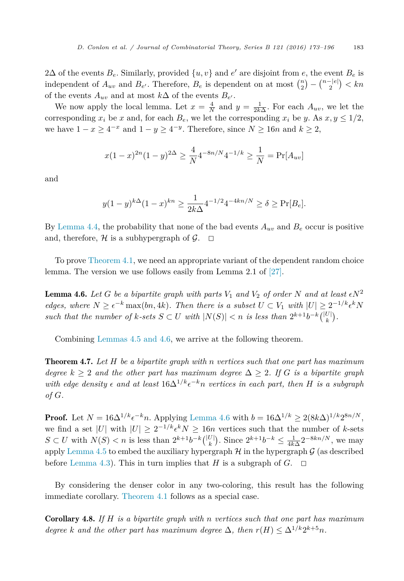2 $\Delta$  of the events  $B_e$ . Similarly, provided  $\{u, v\}$  and  $e'$  are disjoint from  $e$ , the event  $B_e$  is independent of  $A_{uv}$  and  $B_{e'}$ . Therefore,  $B_e$  is dependent on at most  $\binom{n}{2} - \binom{n-|e|}{2} < kn$ of the events  $A_{uv}$  and at most  $k\Delta$  of the events  $B_{e'}$ .

We now apply the local lemma. Let  $x = \frac{4}{N}$  and  $y = \frac{1}{2k\Delta}$ . For each  $A_{uv}$ , we let the corresponding  $x_i$  be *x* and, for each  $B_e$ , we let the corresponding  $x_i$  be *y*. As  $x, y \leq 1/2$ , we have  $1 - x \geq 4^{-x}$  and  $1 - y \geq 4^{-y}$ . Therefore, since  $N \geq 16n$  and  $k \geq 2$ ,

$$
x(1-x)^{2n}(1-y)^{2\Delta} \ge \frac{4}{N} 4^{-8n/N} 4^{-1/k} \ge \frac{1}{N} = \Pr[A_{uv}]
$$

and

$$
y(1-y)^{k\Delta}(1-x)^{kn} \ge \frac{1}{2k\Delta} 4^{-1/2} 4^{-4kn/N} \ge \delta \ge \Pr[B_e].
$$

By [Lemma 4.4,](#page-9-0) the probability that none of the bad events  $A_{uv}$  and  $B_e$  occur is positive and, therefore, H is a subhypergraph of  $\mathcal{G}$ .  $\Box$ 

To prove [Theorem 4.1,](#page-7-0) we need an appropriate variant of the dependent random choice lemma. The version we use follows easily from Lemma 2.1 of [\[27\].](#page-22-0)

**Lemma 4.6.** Let G be a bipartite graph with parts  $V_1$  and  $V_2$  of order N and at least  $\epsilon N^2$ *edges,* where  $N \geq \epsilon^{-k} \max(bn, 4k)$ . Then there is a subset  $U \subset V_1$  with  $|U| \geq 2^{-1/k} \epsilon^k N$ such that the number of k-sets  $S \subset U$  with  $|N(S)| < n$  is less than  $2^{k+1}b^{-k} {|\binom{|U|}{k}}$ .

Combining [Lemmas 4.5 and 4.6,](#page-9-0) we arrive at the following theorem.

Theorem 4.7. *Let H be a bipartite graph with n vertices such that one part has maximum degree*  $k \geq 2$  *and the other part has maximum degree*  $\Delta \geq 2$ *. If G is a bipartite graph with edge density*  $\epsilon$  *and at least*  $16\Delta^{1/k} \epsilon^{-k} n$  *vertices in each part, then H is a subgraph of G.*

**Proof.** Let  $N = 16\Delta^{1/k} \epsilon^{-k}n$ . Applying Lemma 4.6 with  $b = 16\Delta^{1/k} \geq 2(8k\Delta)^{1/k}2^{8n/N}$ , we find a set |*U*| with  $|U| \geq 2^{-1/k} \epsilon^k N \geq 16n$  vertices such that the number of *k*-sets *S* ⊂ *U* with  $N(S)$  < *n* is less than  $2^{k+1}b^{-k}$  ( $\binom{|U|}{k}$ ). Since  $2^{k+1}b^{-k}$  ≤  $\frac{1}{4k\Delta}2^{-8kn/N}$ , we may apply [Lemma 4.5](#page-9-0) to embed the auxiliary hypergraph  $\mathcal H$  in the hypergraph  $\mathcal G$  (as described before [Lemma 4.3\)](#page-8-0). This in turn implies that *H* is a subgraph of *G*.  $\Box$ 

By considering the denser color in any two-coloring, this result has the following immediate corollary. [Theorem 4.1](#page-7-0) follows as a special case.

Corollary 4.8. *If H is a bipartite graph with n vertices such that one part has maximum degree k* and the other part has maximum degree  $\Delta$ , then  $r(H) \leq \Delta^{1/k} 2^{k+5} n$ .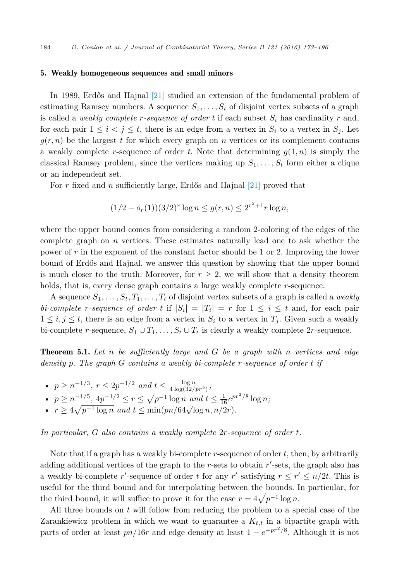## <span id="page-11-0"></span>5. Weakly homogeneous sequences and small minors

In 1989, Erdős and Hajnal [\[21\]](#page-22-0) studied an extension of the fundamental problem of estimating Ramsey numbers. A sequence  $S_1, \ldots, S_t$  of disjoint vertex subsets of a graph is called a *weakly* complete *r*-sequence of order *t* if each subset  $S_i$  has cardinality *r* and, for each pair  $1 \leq i \leq j \leq t$ , there is an edge from a vertex in  $S_i$  to a vertex in  $S_j$ . Let  $g(r, n)$  be the largest *t* for which every graph on *n* vertices or its complement contains a weakly complete *r*-sequence of order *t*. Note that determining  $g(1, n)$  is simply the classical Ramsey problem, since the vertices making up  $S_1, \ldots, S_t$  form either a clique or an independent set.

For *r* fixed and *n* sufficiently large, Erdős and Hajnal [\[21\]](#page-22-0) proved that

$$
(1/2 - o_r(1))(3/2)^r \log n \le g(r, n) \le 2^{r^2 + 1} r \log n,
$$

where the upper bound comes from considering a random 2-coloring of the edges of the complete graph on *n* vertices. These estimates naturally lead one to ask whether the power of *r* in the exponent of the constant factor should be 1 or 2. Improving the lower bound of Erdős and Hajnal, we answer this question by showing that the upper bound is much closer to the truth. Moreover, for  $r \geq 2$ , we will show that a density theorem holds, that is, every dense graph contains a large weakly complete *r*-sequence.

A sequence  $S_1, \ldots, S_t, T_1, \ldots, T_t$  of disjoint vertex subsets of a graph is called a *weakly bi-complete r*-sequence of order *t* if  $|S_i| = |T_i| = r$  for  $1 \le i \le t$  and, for each pair  $1 \leq i, j \leq t$ , there is an edge from a vertex in  $S_i$  to a vertex in  $T_i$ . Given such a weakly bi-complete *r*-sequence,  $S_1 \cup T_1, \ldots, S_t \cup T_t$  is clearly a weakly complete 2*r*-sequence.

Theorem 5.1. *Let n be sufficiently large and G be a graph with n vertices and edge density p. The graph G contains a weakly bi-complete r-sequence of order t if*

- $p \ge n^{-1/3}, r \le 2p^{-1/2}$  *and*  $t \le \frac{\log n}{4 \log(32/pr^2)}$ ;
- $p \ge n^{-1/5}, \ 4p^{-1/2} \le r \le \sqrt{p^{-1} \log n} \ and \ t \le \frac{1}{16} e^{pr^2/8} \log n;$
- $r \geq 4\sqrt{p^{-1}\log n}$  and  $t \leq \min(pn/64\sqrt{\log n}, n/2r)$ .

*In particular, G also contains a weakly complete* 2*r-sequence of order t.*

Note that if a graph has a weakly bi-complete *r*-sequence of order *t*, then, by arbitrarily adding additional vertices of the graph to the *r*-sets to obtain *r*'-sets, the graph also has a weakly bi-complete  $r'$ -sequence of order  $t$  for any  $r'$  satisfying  $r \leq r' \leq n/2t$ . This is useful for the third bound and for interpolating between the bounds. In particular, for the third bound, it will suffice to prove it for the case  $r = 4\sqrt{p^{-1} \log n}$ .

All three bounds on *t* will follow from reducing the problem to a special case of the Zarankiewicz problem in which we want to guarantee a *Kt,t* in a bipartite graph with parts of order at least  $pn/16r$  and edge density at least  $1 - e^{-pr^2/8}$ . Although it is not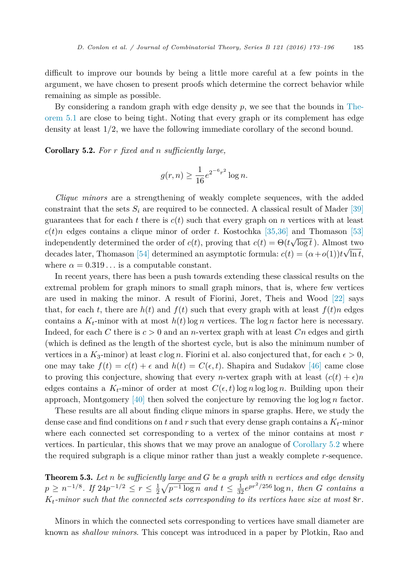<span id="page-12-0"></span>difficult to improve our bounds by being a little more careful at a few points in the argument, we have chosen to present proofs which determine the correct behavior while remaining as simple as possible.

By considering a random graph with edge density *p*, we see that the bounds in [The](#page-11-0)[orem 5.1](#page-11-0) are close to being tight. Noting that every graph or its complement has edge density at least 1*/*2, we have the following immediate corollary of the second bound.

Corollary 5.2. *For r fixed and n sufficiently large,*

$$
g(r,n) \ge \frac{1}{16} e^{2^{-6}r^2} \log n.
$$

*Clique minors* are a strengthening of weakly complete sequences, with the added constraint that the sets  $S_i$  are required to be connected. A classical result of Mader [\[39\]](#page-22-0) guarantees that for each  $t$  there is  $c(t)$  such that every graph on  $n$  vertices with at least  $c(t)n$  edges contains a clique minor of order *t*. Kostochka [\[35,36\]](#page-22-0) and Thomason [\[53\]](#page-23-0) independently determined the order of  $c(t)$ , proving that  $c(t) = \Theta(t\sqrt{\log t})$ . Almost two decades later, Thomason [\[54\]](#page-23-0) determined an asymptotic formula:  $c(t) = (a + o(1))t\sqrt{\ln t}$ , where  $\alpha = 0.319...$  is a computable constant.

In recent years, there has been a push towards extending these classical results on the extremal problem for graph minors to small graph minors, that is, where few vertices are used in making the minor. A result of Fiorini, Joret, Theis and Wood [\[22\]](#page-22-0) says that, for each *t*, there are  $h(t)$  and  $f(t)$  such that every graph with at least  $f(t)n$  edges contains a  $K_t$ -minor with at most  $h(t)$  log *n* vertices. The log *n* factor here is necessary. Indeed, for each *C* there is *c >* 0 and an *n*-vertex graph with at least *Cn* edges and girth (which is defined as the length of the shortest cycle, but is also the minimum number of vertices in a  $K_3$ -minor) at least  $c \log n$ . Fiorini et al. also conjectured that, for each  $\epsilon > 0$ , one may take  $f(t) = c(t) + \epsilon$  and  $h(t) = C(\epsilon, t)$ . Shapira and Sudakov [\[46\]](#page-23-0) came close to proving this conjecture, showing that every *n*-vertex graph with at least  $(c(t) + \epsilon)n$ edges contains a  $K_t$ -minor of order at most  $C(\epsilon, t)$  log *n* log log *n*. Building upon their approach, Montgomery [\[40\]](#page-22-0) then solved the conjecture by removing the log log *n* factor.

These results are all about finding clique minors in sparse graphs. Here, we study the dense case and find conditions on  $t$  and  $r$  such that every dense graph contains a  $K_t$ -minor where each connected set corresponding to a vertex of the minor contains at most *r* vertices. In particular, this shows that we may prove an analogue of Corollary 5.2 where the required subgraph is a clique minor rather than just a weakly complete *r*-sequence.

Theorem 5.3. *Let n be sufficiently large and G be a graph with n vertices and edge density*  $p \ge n^{-1/8}$ . If  $24p^{-1/2} \le r \le \frac{1}{2}\sqrt{p^{-1}\log n}$  and  $t \le \frac{1}{32}e^{pr^2/256}\log n$ , then G contains a *Kt-minor such that the connected sets corresponding to its vertices have size at most* 8*r.*

Minors in which the connected sets corresponding to vertices have small diameter are known as *shallow minors*. This concept was introduced in a paper by Plotkin, Rao and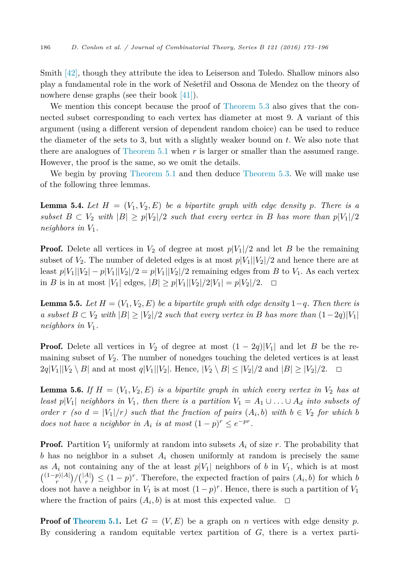<span id="page-13-0"></span>Smith [\[42\],](#page-22-0) though they attribute the idea to Leiserson and Toledo. Shallow minors also play a fundamental role in the work of Nešetřil and Ossona de Mendez on the theory of nowhere dense graphs (see their book [\[41\]\)](#page-22-0).

We mention this concept because the proof of [Theorem 5.3](#page-12-0) also gives that the connected subset corresponding to each vertex has diameter at most 9. A variant of this argument (using a different version of dependent random choice) can be used to reduce the diameter of the sets to 3, but with a slightly weaker bound on *t*. We also note that there are analogues of [Theorem 5.1](#page-11-0) when *r* is larger or smaller than the assumed range. However, the proof is the same, so we omit the details.

We begin by proving [Theorem 5.1](#page-11-0) and then deduce [Theorem 5.3.](#page-12-0) We will make use of the following three lemmas.

**Lemma 5.4.** Let  $H = (V_1, V_2, E)$  be a bipartite graph with edge density p. There is a *subset*  $B \subset V_2$  *with*  $|B| \geq p|V_2|/2$  *such that every vertex in B has more than*  $p|V_1|/2$ *neighbors in V*1*.*

**Proof.** Delete all vertices in  $V_2$  of degree at most  $p|V_1|/2$  and let *B* be the remaining subset of  $V_2$ . The number of deleted edges is at most  $p|V_1||V_2|/2$  and hence there are at least  $p|V_1||V_2| - p|V_1||V_2|/2 = p|V_1||V_2|/2$  remaining edges from *B* to  $V_1$ . As each vertex in *B* is in at most |*V*<sub>1</sub>| edges, |*B*| ≥ *p*|*V*<sub>1</sub>||*V*<sub>2</sub>|/2|*V*<sub>1</sub>| = *p*|*V*<sub>2</sub>|/2. □

**Lemma 5.5.** Let  $H = (V_1, V_2, E)$  be a bipartite graph with edge density 1−*q*. Then there is  $a$  *subset*  $B \subset V_2$  *with*  $|B| \geq |V_2|/2$  *such that every vertex in*  $B$  *has more than*  $(1-2q)|V_1|$ *neighbors in V*1*.*

**Proof.** Delete all vertices in  $V_2$  of degree at most  $(1 - 2q)|V_1|$  and let *B* be the remaining subset of *V*2. The number of nonedges touching the deleted vertices is at least  $2q|V_1||V_2 \setminus B|$  and at most  $q|V_1||V_2|$ . Hence,  $|V_2 \setminus B| \leq |V_2|/2$  and  $|B| \geq |V_2|/2$ .  $\Box$ 

**Lemma 5.6.** If  $H = (V_1, V_2, E)$  is a bipartite graph in which every vertex in  $V_2$  has at least  $p|V_1|$  neighbors in  $V_1$ , then there is a partition  $V_1 = A_1 \cup \ldots \cup A_d$  into subsets of order r (so  $d = |V_1|/r$ ) such that the fraction of pairs  $(A_i, b)$  with  $b \in V_2$  for which b *does not have a neighbor in*  $A_i$  *is at most*  $(1-p)^r \leq e^{-pr}$ .

**Proof.** Partition  $V_1$  uniformly at random into subsets  $A_i$  of size  $r$ . The probability that *b* has no neighbor in a subset *A<sup>i</sup>* chosen uniformly at random is precisely the same as  $A_i$  not containing any of the at least  $p|V_1|$  neighbors of *b* in  $V_1$ , which is at most  $\binom{(1-p)|A|}{r}/\binom{|A|}{r} \leq (1-p)^r$ . Therefore, the expected fraction of pairs  $(A_i, b)$  for which *b* does not have a neighbor in  $V_1$  is at most  $(1-p)^r$ . Hence, there is such a partition of  $V_1$ where the fraction of pairs  $(A_i, b)$  is at most this expected value.  $\Box$ 

**Proof of [Theorem](#page-11-0) 5.1.** Let  $G = (V, E)$  be a graph on *n* vertices with edge density *p*. By considering a random equitable vertex partition of *G*, there is a vertex parti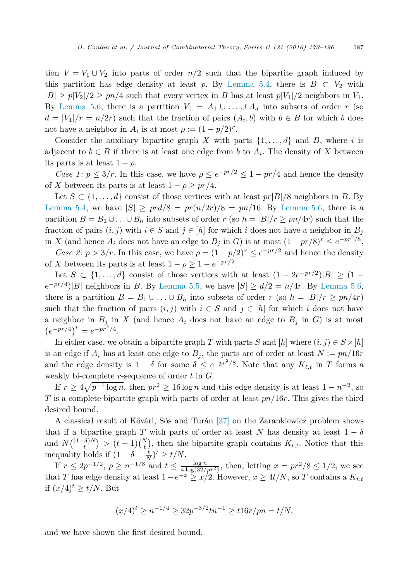tion  $V = V_1 \cup V_2$  into parts of order  $n/2$  such that the bipartite graph induced by this partition has edge density at least *p*. By [Lemma 5.4,](#page-13-0) there is  $B \subset V_2$  with  $|B| \geq p|V_2|/2 \geq pn/4$  such that every vertex in *B* has at least  $p|V_1|/2$  neighbors in  $V_1$ . By [Lemma 5.6,](#page-13-0) there is a partition  $V_1 = A_1 \cup \ldots \cup A_d$  into subsets of order *r* (so  $d = |V_1|/r = n/2r$  such that the fraction of pairs  $(A_i, b)$  with  $b \in B$  for which *b* does not have a neighbor in  $A_i$  is at most  $\rho := (1 - p/2)^r$ .

Consider the auxiliary bipartite graph *X* with parts  $\{1, \ldots, d\}$  and *B*, where *i* is adjacent to  $b \in B$  if there is at least one edge from b to  $A_i$ . The density of X between its parts is at least  $1 - \rho$ .

*Case 1*:  $p \leq 3/r$ . In this case, we have  $\rho \leq e^{-pr/2} \leq 1 - pr/4$  and hence the density of *X* between its parts is at least  $1 - \rho \geq pr/4$ .

Let  $S \subset \{1, \ldots, d\}$  consist of those vertices with at least  $pr|B|/8$  neighbors in *B*. By [Lemma 5.4,](#page-13-0) we have  $|S| \geq pr d/8 = pr(n/2r)/8 = pn/16$ . By [Lemma 5.6,](#page-13-0) there is a partition  $B = B_1 \cup \ldots \cup B_h$  into subsets of order  $r$  (so  $h = |B|/r \geq pn/4r$ ) such that the fraction of pairs  $(i, j)$  with  $i \in S$  and  $j \in [h]$  for which *i* does not have a neighbor in  $B_j$ in *X* (and hence  $A_i$  does not have an edge to  $B_j$  in *G*) is at most  $(1 - pr/8)^r \le e^{-pr^2/8}$ .

*Case 2*:  $p > 3/r$ . In this case, we have  $\rho = (1 - p/2)^r \le e^{-pr/2}$  and hence the density of *X* between its parts is at least  $1 - \rho \geq 1 - e^{-pr/2}$ .

Let  $S \subset \{1, \ldots, d\}$  consist of those vertices with at least  $(1 - 2e^{-pr/2})|B| \geq (1$  $e^{-pr/4}$ |*B*| neighbors in *B*. By [Lemma 5.5,](#page-13-0) we have  $|S| \ge d/2 = n/4r$ . By [Lemma 5.6,](#page-13-0) there is a partition  $B = B_1 \cup \ldots \cup B_h$  into subsets of order *r* (so  $h = |B|/r \geq pn/4r$ ) such that the fraction of pairs  $(i, j)$  with  $i \in S$  and  $j \in [h]$  for which i does not have a neighbor in  $B_j$  in *X* (and hence  $A_i$  does not have an edge to  $B_j$  in *G*) is at most  $(e^{-pr/4})^r = e^{-pr^2/4}.$ 

In either case, we obtain a bipartite graph *T* with parts *S* and  $[h]$  where  $(i, j) \in S \times [h]$ is an edge if  $A_i$  has at least one edge to  $B_j$ , the parts are of order at least  $N := pn/16r$ and the edge density is  $1 - \delta$  for some  $\delta \leq e^{-pr^2/8}$ . Note that any  $K_{t,t}$  in *T* forms a weakly bi-complete *r*-sequence of order *t* in *G*.

If  $r \geq 4\sqrt{p^{-1}\log n}$ , then  $pr^2 \geq 16\log n$  and this edge density is at least  $1 - n^{-2}$ , so *T* is a complete bipartite graph with parts of order at least *pn/*16*r*. This gives the third desired bound.

A classical result of Kővári, Sós and Turán [\[37\]](#page-22-0) on the Zarankiewicz problem shows that if a bipartite graph *T* with parts of order at least *N* has density at least  $1 - \delta$ and  $N\binom{(1-\delta)N}{t}$  >  $(t-1)\binom{N}{t}$ , then the bipartite graph contains  $K_{t,t}$ . Notice that this inequality holds if  $(1 - \delta - \frac{t}{N})^t \ge t/N$ .

If  $r \le 2p^{-1/2}, p \ge n^{-1/3}$  and  $t \le \frac{\log n}{4 \log(32/pr^2)}$ , then, letting  $x = pr^2/8 \le 1/2$ , we see that *T* has edge density at least  $1-e^{-x} \ge x/2$ . However,  $x \ge 4t/N$ , so *T* contains a  $K_{t,t}$ if  $(x/4)^t \ge t/N$ . But

$$
(x/4)^t \ge n^{-1/4} \ge 32p^{-3/2}tn^{-1} \ge t16r/pn = t/N,
$$

and we have shown the first desired bound.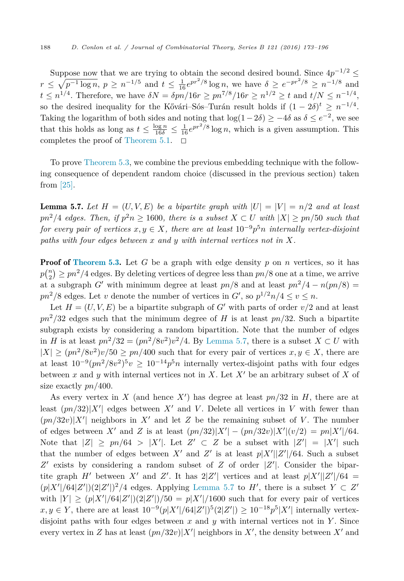Suppose now that we are trying to obtain the second desired bound. Since  $4p^{-1/2} \leq$  $r \leq \sqrt{p^{-1} \log n}, p \geq n^{-1/5}$  and  $t \leq \frac{1}{16} e^{p r^2/8} \log n$ , we have  $\delta \geq e^{-p r^2/8} \geq n^{-1/8}$  and  $t \leq n^{1/4}$ . Therefore, we have  $\delta N = \delta p n / 16r \geq pn^{7/8} / 16r \geq n^{1/2} \geq t$  and  $t/N \leq n^{-1/4}$ , so the desired inequality for the Kővári–Sós–Turán result holds if  $(1 - 2\delta)^t \geq n^{-1/4}$ . Taking the logarithm of both sides and noting that  $log(1-2\delta) \geq -4\delta$  as  $\delta \leq e^{-2}$ , we see that this holds as long as  $t \leq \frac{\log n}{16\delta} \leq \frac{1}{16} e^{pr^2/8} \log n$ , which is a given assumption. This completes the proof of [Theorem 5.1.](#page-11-0)  $\Box$ 

To prove [Theorem 5.3,](#page-12-0) we combine the previous embedding technique with the following consequence of dependent random choice (discussed in the previous section) taken from [\[25\].](#page-22-0)

**Lemma 5.7.** Let  $H = (U, V, E)$  be a bipartite graph with  $|U| = |V| = n/2$  and at least  $pn^2/4$  *edges.* Then, *if*  $p^2n \ge 1600$ *, there is a subset*  $X \subset U$  *with*  $|X| \ge pn/50$  *such that for every pair of vertices*  $x, y \in X$ *, there are at least*  $10^{-9}p^{5}n$  *internally vertex-disjoint paths with four edges between x and y with internal vertices not in X.*

**Proof of [Theorem](#page-12-0) 5.3.** Let *G* be a graph with edge density *p* on *n* vertices, so it has  $p\binom{n}{2} \geq pn^2/4$  edges. By deleting vertices of degree less than  $pn/8$  one at a time, we arrive at a subgraph *G*<sup> $\prime$ </sup> with minimum degree at least  $pn/8$  and at least  $pn^2/4 - n(pn/8) =$  $pn^2/8$  edges. Let *v* denote the number of vertices in *G*<sup> $\prime$ </sup>, so  $p^{1/2}n/4 \le v \le n$ .

Let  $H = (U, V, E)$  be a bipartite subgraph of G' with parts of order  $v/2$  and at least  $pn^2/32$  edges such that the minimum degree of *H* is at least  $pn/32$ . Such a bipartite subgraph exists by considering a random bipartition. Note that the number of edges in *H* is at least  $pn^2/32 = (pn^2/8v^2)v^2/4$ . By Lemma 5.7, there is a subset  $X \subset U$  with  $|X| \geq (pn^2/8v^2)v/50 \geq pn/400$  such that for every pair of vertices  $x, y \in X$ , there are at least  $10^{-9} (pn^2/8v^2)^5 v \ge 10^{-14} p^5 n$  internally vertex-disjoint paths with four edges between *x* and *y* with internal vertices not in *X*. Let *X*- be an arbitrary subset of *X* of size exactly *pn/*400.

As every vertex in *X* (and hence *X*- ) has degree at least *pn/*32 in *H*, there are at least  $(pn/32)|X'|$  edges between  $X'$  and  $V$ . Delete all vertices in  $V$  with fewer than  $(pn/32v)|X'|$  neighbors in X' and let Z be the remaining subset of V. The number of edges between *X*<sup>*'*</sup> and *Z* is at least  $(pn/32)|X'| - (pn/32v)|X'| (v/2) = pn|X'|/64$ . Note that  $|Z| \geq pn/64 > |X'|$ . Let  $Z' \subset Z$  be a subset with  $|Z'| = |X'|$  such that the number of edges between  $X'$  and  $Z'$  is at least  $p|X'||Z'|/64$ . Such a subset *Z*- exists by considering a random subset of *Z* of order |*Z*- |. Consider the bipartite graph *H*<sup> $\prime$ </sup> between *X*<sup> $\prime$ </sup> and *Z*<sup> $\prime$ </sup>. It has 2|*Z*<sup> $\prime$ </sup>| vertices and at least  $p|X^{\prime}||Z^{\prime}|/64$  =  $(p|X'|/64|Z'|)(2|Z'|)^2/4$  edges. Applying Lemma 5.7 to *H*<sup> $\prime$ </sup>, there is a subset  $Y \subset Z'$ with  $|Y| \ge (p|X'|/64|Z'|)(2|Z'|)/50 = p|X'|/1600$  such that for every pair of vertices *x*, *y* ∈ *Y*, there are at least  $10^{-9} (p|X'|/64|Z'|)^5 (2|Z'|) \ge 10^{-18} p^5 |X'|$  internally vertexdisjoint paths with four edges between *x* and *y* with internal vertices not in *Y* . Since every vertex in *Z* has at least  $(pn/32v)|X'|$  neighbors in *X*<sup>'</sup>, the density between *X*<sup>'</sup> and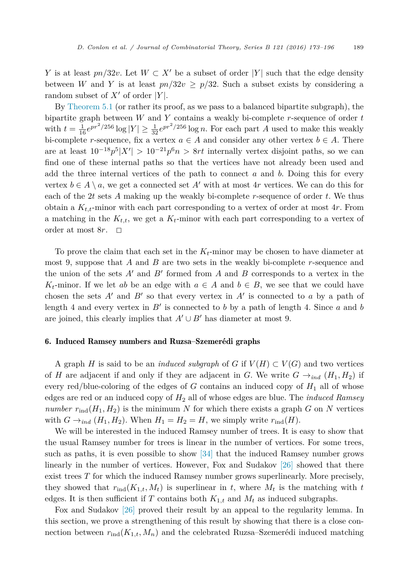<span id="page-16-0"></span>*Y* is at least  $pn/32v$ . Let  $W \subset X'$  be a subset of order |*Y*| such that the edge density between *W* and *Y* is at least  $pn/32v \geq p/32$ . Such a subset exists by considering a random subset of  $X'$  of order  $|Y|$ .

By [Theorem 5.1](#page-11-0) (or rather its proof, as we pass to a balanced bipartite subgraph), the bipartite graph between *W* and *Y* contains a weakly bi-complete *r*-sequence of order *t* with  $t = \frac{1}{16} e^{pr^2/256} \log |Y| \ge \frac{1}{32} e^{pr^2/256} \log n$ . For each part *A* used to make this weakly bi-complete *r*-sequence, fix a vertex  $a \in A$  and consider any other vertex  $b \in A$ . There are at least  $10^{-18}p^5|X'| > 10^{-21}p^6n > 8rt$  internally vertex disjoint paths, so we can find one of these internal paths so that the vertices have not already been used and add the three internal vertices of the path to connect *a* and *b*. Doing this for every vertex  $b \in A \setminus a$ , we get a connected set  $A'$  with at most  $4r$  vertices. We can do this for each of the 2*t* sets *A* making up the weakly bi-complete *r*-sequence of order *t*. We thus obtain a  $K_{t,t}$ -minor with each part corresponding to a vertex of order at most  $4r$ . From a matching in the  $K_{t,t}$ , we get a  $K_t$ -minor with each part corresponding to a vertex of order at most  $8r$ .  $\Box$ 

To prove the claim that each set in the *Kt*-minor may be chosen to have diameter at most 9, suppose that *A* and *B* are two sets in the weakly bi-complete *r*-sequence and the union of the sets  $A'$  and  $B'$  formed from  $A$  and  $B$  corresponds to a vertex in the *K*<sub>t</sub>-minor. If we let *ab* be an edge with  $a \in A$  and  $b \in B$ , we see that we could have chosen the sets  $A'$  and  $B'$  so that every vertex in  $A'$  is connected to *a* by a path of length 4 and every vertex in  $B'$  is connected to *b* by a path of length 4. Since *a* and *b* are joined, this clearly implies that  $A' \cup B'$  has diameter at most 9.

## 6. Induced Ramsey numbers and Ruzsa–Szemerédi graphs

A graph *H* is said to be an *induced subgraph* of *G* if  $V(H) \subset V(G)$  and two vertices of *H* are adjacent if and only if they are adjacent in *G*. We write  $G \rightarrow_{ind} (H_1, H_2)$  if every red/blue-coloring of the edges of  $G$  contains an induced copy of  $H_1$  all of whose edges are red or an induced copy of *H*<sup>2</sup> all of whose edges are blue. The *induced Ramsey number*  $r_{\text{ind}}(H_1, H_2)$  is the minimum *N* for which there exists a graph *G* on *N* vertices with  $G \rightarrow_{ind} (H_1, H_2)$ . When  $H_1 = H_2 = H$ , we simply write  $r_{ind}(H)$ .

We will be interested in the induced Ramsey number of trees. It is easy to show that the usual Ramsey number for trees is linear in the number of vertices. For some trees, such as paths, it is even possible to show [\[34\]](#page-22-0) that the induced Ramsey number grows linearly in the number of vertices. However, Fox and Sudakov [\[26\]](#page-22-0) showed that there exist trees *T* for which the induced Ramsey number grows superlinearly. More precisely, they showed that  $r_{\text{ind}}(K_{1,t}, M_t)$  is superlinear in t, where  $M_t$  is the matching with t edges. It is then sufficient if *T* contains both  $K_{1,t}$  and  $M_t$  as induced subgraphs.

Fox and Sudakov [\[26\]](#page-22-0) proved their result by an appeal to the regularity lemma. In this section, we prove a strengthening of this result by showing that there is a close connection between  $r_{\text{ind}}(K_{1,t}, M_n)$  and the celebrated Ruzsa–Szemerédi induced matching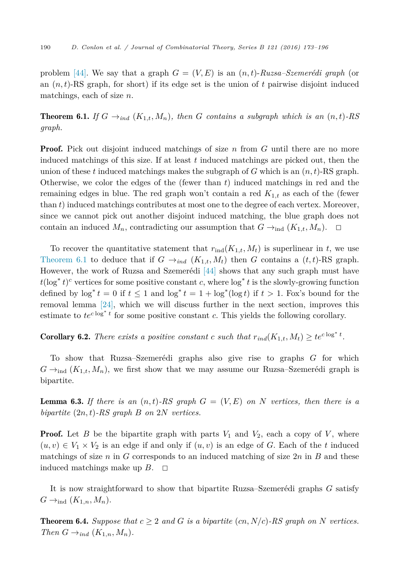<span id="page-17-0"></span>problem [\[44\].](#page-23-0) We say that a graph  $G = (V, E)$  is an  $(n, t)$ -Ruzsa–Szemerédi graph (or an  $(n,t)$ -RS graph, for short) if its edge set is the union of  $t$  pairwise disjoint induced matchings, each of size *n*.

**Theorem 6.1.** *If*  $G \rightarrow_{ind} (K_{1,t}, M_n)$ *, then G contains a subgraph which is an*  $(n,t)$ *-RS graph.*

**Proof.** Pick out disjoint induced matchings of size *n* from *G* until there are no more induced matchings of this size. If at least *t* induced matchings are picked out, then the union of these  $t$  induced matchings makes the subgraph of  $G$  which is an  $(n,t)$ -RS graph. Otherwise, we color the edges of the (fewer than *t*) induced matchings in red and the remaining edges in blue. The red graph won't contain a red *K*1*,t* as each of the (fewer than *t*) induced matchings contributes at most one to the degree of each vertex. Moreover, since we cannot pick out another disjoint induced matching, the blue graph does not contain an induced  $M_n$ , contradicting our assumption that  $G \rightarrow_{ind} (K_{1,t}, M_n)$ .

To recover the quantitative statement that  $r_{ind}(K_{1,t}, M_t)$  is superlinear in t, we use Theorem 6.1 to deduce that if  $G \rightarrow_{ind} (K_{1,t}, M_t)$  then *G* contains a  $(t, t)$ -RS graph. However, the work of Ruzsa and Szemerédi [\[44\]](#page-23-0) shows that any such graph must have  $t(\log^* t)^c$  vertices for some positive constant *c*, where  $\log^* t$  is the slowly-growing function defined by  $\log^* t = 0$  if  $t \leq 1$  and  $\log^* t = 1 + \log^* (\log t)$  if  $t > 1$ . Fox's bound for the removal lemma [\[24\],](#page-22-0) which we will discuss further in the next section, improves this estimate to  $te^{c \log^* t}$  for some positive constant *c*. This yields the following corollary.

**Corollary 6.2.** *There exists a positive constant c such that*  $r_{ind}(K_{1,t}, M_t) \geq te^{c \log^* t}$ .

To show that Ruzsa–Szemerédi graphs also give rise to graphs *G* for which  $G \rightarrow_{\text{ind}} (K_{1,t}, M_n)$ , we first show that we may assume our Ruzsa–Szemerédi graph is bipartite.

**Lemma 6.3.** If there is an  $(n,t)$ -RS graph  $G = (V, E)$  on N vertices, then there is a *bipartite* (2*n,t*)*-RS graph B on* 2*N vertices.*

**Proof.** Let *B* be the bipartite graph with parts  $V_1$  and  $V_2$ , each a copy of  $V$ , where  $(u, v) \in V_1 \times V_2$  is an edge if and only if  $(u, v)$  is an edge of *G*. Each of the *t* induced matchings of size *n* in *G* corresponds to an induced matching of size 2*n* in *B* and these induced matchings make up  $B$ .  $\Box$ 

It is now straightforward to show that bipartite Ruzsa–Szemerédi graphs *G* satisfy  $G \rightarrow_{\text{ind}} (K_{1,n}, M_n).$ 

**Theorem 6.4.** *Suppose that*  $c \geq 2$  *and G is a bipartite* (*cn, N/c*)*-RS graph on N vertices. Then*  $G \rightarrow_{ind} (K_{1,n}, M_n)$ *.*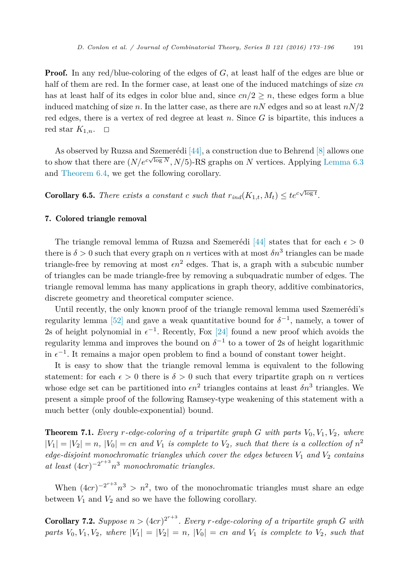<span id="page-18-0"></span>**Proof.** In any red/blue-coloring of the edges of G, at least half of the edges are blue or half of them are red. In the former case, at least one of the induced matchings of size *cn* has at least half of its edges in color blue and, since  $cn/2 \geq n$ , these edges form a blue induced matching of size *n*. In the latter case, as there are *nN* edges and so at least *nN/*2 red edges, there is a vertex of red degree at least *n*. Since *G* is bipartite, this induces a red star  $K_{1,n}$ .  $\Box$ 

As observed by Ruzsa and Szemerédi [\[44\],](#page-23-0) a construction due to Behrend [\[8\]](#page-21-0) allows one to show that there are  $(N/e^{c\sqrt{\log N}}, N/5)$ -RS graphs on *N* vertices. Applying [Lemma 6.3](#page-17-0) and [Theorem 6.4,](#page-17-0) we get the following corollary.

**Corollary 6.5.** *There exists a constant c such that*  $r_{ind}(K_{1,t}, M_t) \leq te^{c\sqrt{\log t}}$ .

## 7. Colored triangle removal

The triangle removal lemma of Ruzsa and Szemerédi [\[44\]](#page-23-0) states that for each  $\epsilon > 0$ there is  $\delta > 0$  such that every graph on *n* vertices with at most  $\delta n^3$  triangles can be made triangle-free by removing at most  $\epsilon n^2$  edges. That is, a graph with a subcubic number of triangles can be made triangle-free by removing a subquadratic number of edges. The triangle removal lemma has many applications in graph theory, additive combinatorics, discrete geometry and theoretical computer science.

Until recently, the only known proof of the triangle removal lemma used Szemerédi's regularity lemma [\[52\]](#page-23-0) and gave a weak quantitative bound for  $\delta^{-1}$ , namely, a tower of 2s of height polynomial in  $\epsilon^{-1}$ . Recently, Fox [\[24\]](#page-22-0) found a new proof which avoids the regularity lemma and improves the bound on  $\delta^{-1}$  to a tower of 2s of height logarithmic in  $\epsilon^{-1}$ . It remains a major open problem to find a bound of constant tower height.

It is easy to show that the triangle removal lemma is equivalent to the following statement: for each  $\epsilon > 0$  there is  $\delta > 0$  such that every tripartite graph on *n* vertices whose edge set can be partitioned into  $\epsilon n^2$  triangles contains at least  $\delta n^3$  triangles. We present a simple proof of the following Ramsey-type weakening of this statement with a much better (only double-exponential) bound.

**Theorem 7.1.** *Every*  $r$ *-edge-coloring* of a *tripartite graph*  $G$  *with parts*  $V_0$ ,  $V_1$ ,  $V_2$ *, where*  $|V_1| = |V_2| = n$ ,  $|V_0| = cn$  and  $V_1$  is complete to  $V_2$ , such that there is a collection of  $n^2$ *edge-disjoint monochromatic triangles which cover the edges between V*<sup>1</sup> *and V*<sup>2</sup> *contains at least* (4*cr*)−2*r*+3 *n*<sup>3</sup> *monochromatic triangles.*

When  $(4cr)^{-2r+3}n^3 > n^2$ , two of the monochromatic triangles must share an edge between  $V_1$  and  $V_2$  and so we have the following corollary.

**Corollary 7.2.** Suppose  $n > (4cr)^{2^{r+3}}$ . Every *r*-edge-coloring of a tripartite graph G with parts  $V_0, V_1, V_2$ , where  $|V_1| = |V_2| = n$ ,  $|V_0| = cn$  and  $V_1$  is complete to  $V_2$ , such that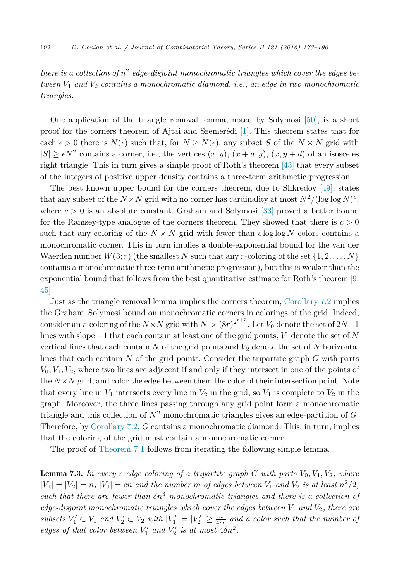<span id="page-19-0"></span>*there is a collection of n*<sup>2</sup> *edge-disjoint monochromatic triangles which cover the edges between V*<sup>1</sup> *and V*<sup>2</sup> *contains a monochromatic diamond, i.e., an edge in two monochromatic triangles.*

One application of the triangle removal lemma, noted by Solymosi [\[50\],](#page-23-0) is a short proof for the corners theorem of Ajtai and Szemerédi [\[1\].](#page-21-0) This theorem states that for each  $\epsilon > 0$  there is  $N(\epsilon)$  such that, for  $N > N(\epsilon)$ , any subset *S* of the  $N \times N$  grid with  $|S| \ge \epsilon N^2$  contains a corner, i.e., the vertices  $(x, y)$ ,  $(x + d, y)$ ,  $(x, y + d)$  of an isosceles right triangle. This in turn gives a simple proof of Roth's theorem [\[43\]](#page-22-0) that every subset of the integers of positive upper density contains a three-term arithmetic progression.

The best known upper bound for the corners theorem, due to Shkredov [\[49\],](#page-23-0) states that any subset of the  $N \times N$  grid with no corner has cardinality at most  $N^2/(\log \log N)^c$ , where  $c > 0$  is an absolute constant. Graham and Solymosi [\[33\]](#page-22-0) proved a better bound for the Ramsey-type analogue of the corners theorem. They showed that there is  $c > 0$ such that any coloring of the  $N \times N$  grid with fewer than  $c \log \log N$  colors contains a monochromatic corner. This in turn implies a double-exponential bound for the van der Waerden number  $W(3; r)$  (the smallest N such that any r-coloring of the set  $\{1, 2, \ldots, N\}$ ) contains a monochromatic three-term arithmetic progression), but this is weaker than the exponential bound that follows from the best quantitative estimate for Roth's theorem  $[9,$ [45\].](#page-21-0)

Just as the triangle removal lemma implies the corners theorem, [Corollary 7.2](#page-18-0) implies the Graham–Solymosi bound on monochromatic corners in colorings of the grid. Indeed, consider an *r*-coloring of the  $N \times N$  grid with  $N > (8r)^{2^{r+3}}$ . Let  $V_0$  denote the set of  $2N-1$ lines with slope −1 that each contain at least one of the grid points, *V*<sup>1</sup> denote the set of *N* vertical lines that each contain  $N$  of the grid points and  $V_2$  denote the set of  $N$  horizontal lines that each contain *N* of the grid points. Consider the tripartite graph *G* with parts  $V_0, V_1, V_2$ , where two lines are adjacent if and only if they intersect in one of the points of the  $N \times N$  grid, and color the edge between them the color of their intersection point. Note that every line in  $V_1$  intersects every line in  $V_2$  in the grid, so  $V_1$  is complete to  $V_2$  in the graph. Moreover, the three lines passing through any grid point form a monochromatic triangle and this collection of *N*<sup>2</sup> monochromatic triangles gives an edge-partition of *G*. Therefore, by [Corollary 7.2,](#page-18-0) *G* contains a monochromatic diamond. This, in turn, implies that the coloring of the grid must contain a monochromatic corner.

The proof of [Theorem 7.1](#page-18-0) follows from iterating the following simple lemma.

**Lemma 7.3.** In every r-edge coloring of a tripartite graph  $G$  with parts  $V_0, V_1, V_2$ , where  $|V_1| = |V_2| = n$ ,  $|V_0| = cn$  and the number m of edges between  $V_1$  and  $V_2$  is at least  $n^2/2$ , *such that there are fewer than δn*<sup>3</sup> *monochromatic triangles and there is a collection of edge-disjoint monochromatic triangles which cover the edges between V*<sup>1</sup> *and V*2*, there are* subsets  $V'_1 \subset V_1$  and  $V'_2 \subset V_2$  with  $|V'_1| = |V'_2| \ge \frac{n}{4cr}$  and a color such that the number of *edges of that color between*  $V'_1$  *and*  $V'_2$  *is at most*  $4\delta n^2$ *.*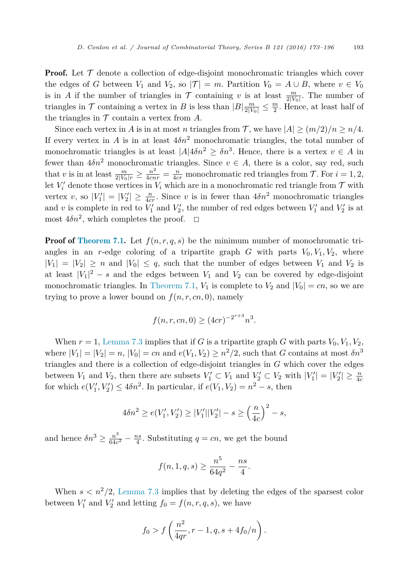**Proof.** Let  $\mathcal T$  denote a collection of edge-disjoint monochromatic triangles which cover the edges of *G* between  $V_1$  and  $V_2$ , so  $|\mathcal{T}| = m$ . Partition  $V_0 = A \cup B$ , where  $v \in V_0$ is in *A* if the number of triangles in  $\mathcal T$  containing *v* is at least  $\frac{m}{2|V_0|}$ . The number of triangles in  $\mathcal T$  containing a vertex in *B* is less than  $|B| \frac{m}{2|V_0|} \leq \frac{m}{2}$ . Hence, at least half of the triangles in  $T$  contain a vertex from  $A$ .

Since each vertex in *A* is in at most *n* triangles from *T*, we have  $|A| \ge (m/2)/n \ge n/4$ . If every vertex in *A* is in at least  $4\delta n^2$  monochromatic triangles, the total number of monochromatic triangles is at least  $|A|4\delta n^2 > \delta n^3$ . Hence, there is a vertex  $v \in A$  in fewer than  $4\delta n^2$  monochromatic triangles. Since  $v \in A$ , there is a color, say red, such that *v* is in at least  $\frac{m}{2|V_0|r} \geq \frac{n^2}{4crr} = \frac{n}{4cr}$  monochromatic red triangles from  $\mathcal{T}$ . For  $i = 1, 2, ...$ let  $V_i'$  denote those vertices in  $V_i$  which are in a monochromatic red triangle from  $\mathcal T$  with vertex *v*, so  $|V'_1| = |V'_2| \ge \frac{n}{4cr}$ . Since *v* is in fewer than  $4\delta n^2$  monochromatic triangles and *v* is complete in red to  $V'_1$  and  $V'_2$ , the number of red edges between  $V'_1$  and  $V'_2$  is at most  $4\delta n^2$ , which completes the proof.  $\Box$ 

**Proof of [Theorem 7.1.](#page-18-0)** Let  $f(n, r, q, s)$  be the minimum number of monochromatic triangles in an *r*-edge coloring of a tripartite graph *G* with parts  $V_0$ ,  $V_1$ ,  $V_2$ , where  $|V_1| = |V_2| \geq n$  and  $|V_0| \leq q$ , such that the number of edges between  $V_1$  and  $V_2$  is at least  $|V_1|^2 - s$  and the edges between  $V_1$  and  $V_2$  can be covered by edge-disjoint monochromatic triangles. In [Theorem 7.1,](#page-18-0)  $V_1$  is complete to  $V_2$  and  $|V_0| = cn$ , so we are trying to prove a lower bound on  $f(n, r, cn, 0)$ , namely

$$
f(n, r, cn, 0) \ge (4cr)^{-2^{r+3}} n^3.
$$

When  $r = 1$ , [Lemma 7.3](#page-19-0) implies that if *G* is a tripartite graph *G* with parts  $V_0, V_1, V_2$ , where  $|V_1| = |V_2| = n$ ,  $|V_0| = cn$  and  $e(V_1, V_2) \geq n^2/2$ , such that *G* contains at most  $\delta n^3$ triangles and there is a collection of edge-disjoint triangles in *G* which cover the edges between  $V_1$  and  $V_2$ , then there are subsets  $V'_1 \subset V_1$  and  $V'_2 \subset V_2$  with  $|V'_1| = |V'_2| \geq \frac{n}{4c}$ for which  $e(V'_1, V'_2) \leq 4\delta n^2$ . In particular, if  $e(V_1, V_2) = n^2 - s$ , then

$$
4\delta n^2 \ge e(V'_1, V'_2) \ge |V'_1||V'_2| - s \ge \left(\frac{n}{4c}\right)^2 - s,
$$

and hence  $\delta n^3 \ge \frac{n^3}{64c^2} - \frac{ns}{4}$ . Substituting  $q = cn$ , we get the bound

$$
f(n, 1, q, s) \ge \frac{n^5}{64q^2} - \frac{ns}{4}.
$$

When  $s < n^2/2$ , [Lemma 7.3](#page-19-0) implies that by deleting the edges of the sparsest color between  $V'_1$  and  $V'_2$  and letting  $f_0 = f(n, r, q, s)$ , we have

$$
f_0 > f\left(\frac{n^2}{4qr}, r - 1, q, s + 4f_0/n\right).
$$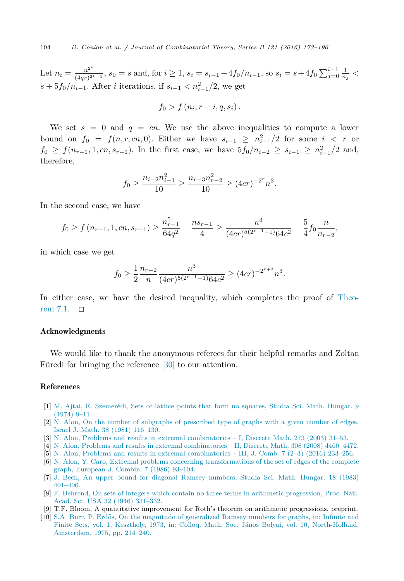<span id="page-21-0"></span>Let  $n_i = \frac{n^{2^i}}{(4qr)^{2^i-1}}$ ,  $s_0 = s$  and, for  $i \ge 1$ ,  $s_i = s_{i-1} + 4f_0/n_{i-1}$ , so  $s_i = s + 4f_0 \sum_{j=0}^{i-1} \frac{1}{n_j}$ *s* +  $5f_0/n_{i-1}$ . After *i* iterations, if  $s_{i-1} < n_{i-1}^2/2$ , we get

$$
f_0 > f\left(n_i, r-i, q, s_i\right).
$$

We set  $s = 0$  and  $q = cn$ . We use the above inequalities to compute a lower bound on  $f_0 = f(n, r, cn, 0)$ . Either we have  $s_{i-1} \geq n_{i-1}^2/2$  for some  $i < r$  or *f*<sub>0</sub> ≥ *f*( $n_{r-1}$ , 1*, cn*,  $s_{r-1}$ ). In the first case, we have  $5f_0/n_{i-2}$  ≥  $s_{i-1}$  ≥  $n_{i-1}^2/2$  and, therefore,

$$
f_0 \ge \frac{n_{i-2}n_{i-1}^2}{10} \ge \frac{n_{r-3}n_{r-2}^2}{10} \ge (4cr)^{-2^r}n^3.
$$

In the second case, we have

$$
f_0 \ge f\left(n_{r-1}, 1, cn, s_{r-1}\right) \ge \frac{n_{r-1}^5}{64q^2} - \frac{ns_{r-1}}{4} \ge \frac{n^3}{(4cr)^{5(2r-1)}64c^2} - \frac{5}{4}f_0\frac{n}{n_{r-2}},
$$

in which case we get

$$
f_0 \ge \frac{1}{2} \frac{n_{r-2}}{n} \frac{n^3}{(4cr)^{5(2^{r-1}-1)} 64c^2} \ge (4cr)^{-2^{r+3}} n^3.
$$

In either case, we have the desired inequality, which completes the proof of [Theo](#page-18-0)rem  $7.1. \square$ 

## Acknowledgments

We would like to thank the anonymous referees for their helpful remarks and Zoltan Füredi for bringing the reference [\[30\]](#page-22-0) to our attention.

## References

- [1] M. Ajtai, E. [Szemerédi,](http://refhub.elsevier.com/S0095-8956(16)30001-6/bib416A537As1) Sets of lattice points that form no squares, Studia Sci. Math. Hungar. 9 [\(1974\)](http://refhub.elsevier.com/S0095-8956(16)30001-6/bib416A537As1) 9–11.
- [2] N. Alon, On the number of subgraphs of [prescribed](http://refhub.elsevier.com/S0095-8956(16)30001-6/bib416Cs1) type of graphs with a given number of edges, Israel J. Math. 38 (1981) [116–130.](http://refhub.elsevier.com/S0095-8956(16)30001-6/bib416Cs1)
- [3] N. Alon, Problems and results in extremal [combinatorics](http://refhub.elsevier.com/S0095-8956(16)30001-6/bib416C31s1) I, Discrete Math. 273 (2003) 31–53.
- [4] N. Alon, Problems and results in extremal [combinatorics](http://refhub.elsevier.com/S0095-8956(16)30001-6/bib416C32s1) II, Discrete Math. 308 (2008) 4460–4472.
- $\overline{5}$  N. Alon, Problems and results in extremal [combinatorics](http://refhub.elsevier.com/S0095-8956(16)30001-6/bib416C33s1) III, J. Comb. 7 (2–3) (2016) 233–256.
- [6] N. Alon, Y. Caro, Extremal problems concerning [transformations](http://refhub.elsevier.com/S0095-8956(16)30001-6/bib41433836s1) of the set of edges of the complete graph, [European](http://refhub.elsevier.com/S0095-8956(16)30001-6/bib41433836s1) J. Combin. 7 (1986) 93–104.
- [7] J. Beck, An upper bound for diagonal Ramsey [numbers,](http://refhub.elsevier.com/S0095-8956(16)30001-6/bib423833s1) Studia Sci. Math. Hungar. 18 (1983) [401–406.](http://refhub.elsevier.com/S0095-8956(16)30001-6/bib423833s1)
- [8] F. Behrend, On sets of integers which contain no three terms in arithmetic [progression,](http://refhub.elsevier.com/S0095-8956(16)30001-6/bib42653436s1) Proc. Natl. Acad. Sci. USA 32 (1946) [331–332.](http://refhub.elsevier.com/S0095-8956(16)30001-6/bib42653436s1)
- [9] T.F. Bloom, A quantitative improvement for Roth's theorem on arithmetic progressions, preprint.
- [10] S.A. Burr, P. Erdős, On the magnitude of [generalized](http://refhub.elsevier.com/S0095-8956(16)30001-6/bib42453735s1) Ramsey numbers for graphs, in: Infinite and Finite Sets, vol. 1, Keszthely, 1973, in: Colloq. Math. Soc. János Bolyai, vol. 10, [North-Holland,](http://refhub.elsevier.com/S0095-8956(16)30001-6/bib42453735s1) Amsterdam, 1975, [pp. 214–240.](http://refhub.elsevier.com/S0095-8956(16)30001-6/bib42453735s1)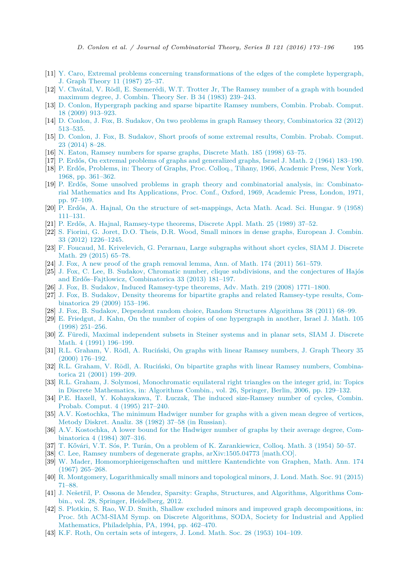- <span id="page-22-0"></span>[11] Y. Caro, Extremal problems concerning [transformations](http://refhub.elsevier.com/S0095-8956(16)30001-6/bib433837s1) of the edges of the complete hypergraph, J. Graph [Theory](http://refhub.elsevier.com/S0095-8956(16)30001-6/bib433837s1) 11 (1987) 25–37.
- [12] V. Chvátal, V. Rödl, E. [Szemerédi,](http://refhub.elsevier.com/S0095-8956(16)30001-6/bib435253543833s1) W.T. Trotter Jr, The Ramsey number of a graph with bounded [maximum](http://refhub.elsevier.com/S0095-8956(16)30001-6/bib435253543833s1) degree, J. Combin. Theory Ser. B 34 (1983) 239–243.
- [13] D. Conlon, [Hypergraph](http://refhub.elsevier.com/S0095-8956(16)30001-6/bib433039s1) packing and sparse bipartite Ramsey numbers, Combin. Probab. Comput. 18 (2009) [913–923.](http://refhub.elsevier.com/S0095-8956(16)30001-6/bib433039s1)
- [14] D. Conlon, J. Fox, B. Sudakov, On two problems in graph Ramsey theory, [Combinatorica](http://refhub.elsevier.com/S0095-8956(16)30001-6/bib4346533132s1) 32 (2012) [513–535.](http://refhub.elsevier.com/S0095-8956(16)30001-6/bib4346533132s1)
- [15] D. Conlon, J. Fox, B. [Sudakov,](http://refhub.elsevier.com/S0095-8956(16)30001-6/bib4346533134s1) Short proofs of some extremal results, Combin. Probab. Comput. 23 [\(2014\)](http://refhub.elsevier.com/S0095-8956(16)30001-6/bib4346533134s1) 8–28.
- [16] N. Eaton, Ramsey [numbers](http://refhub.elsevier.com/S0095-8956(16)30001-6/bib453938s1) for sparse graphs, Discrete Math. 185 (1998) 63–75.
- [17] P. Erdős, On extremal problems of graphs and [generalized](http://refhub.elsevier.com/S0095-8956(16)30001-6/bib453634s1) graphs, Israel J. Math. 2 (1964) 183–190.
- [18] P. Erdős, [Problems,](http://refhub.elsevier.com/S0095-8956(16)30001-6/bib453638s1) in: Theory of Graphs, Proc. Colloq., Tihany, 1966, Academic Press, New York, 1968, [pp. 361–362.](http://refhub.elsevier.com/S0095-8956(16)30001-6/bib453638s1)
- [19] P. Erdős, Some unsolved problems in graph theory and [combinatorial](http://refhub.elsevier.com/S0095-8956(16)30001-6/bib453731s1) analysis, in: Combinatorial Mathematics and Its [Applications,](http://refhub.elsevier.com/S0095-8956(16)30001-6/bib453731s1) Proc. Conf., Oxford, 1969, Academic Press, London, 1971, [pp. 97–109.](http://refhub.elsevier.com/S0095-8956(16)30001-6/bib453731s1)
- [20] P. Erdős, A. Hajnal, On the structure of [set-mappings,](http://refhub.elsevier.com/S0095-8956(16)30001-6/bib45483538s1) Acta Math. Acad. Sci. Hungar. 9 (1958) [111–131.](http://refhub.elsevier.com/S0095-8956(16)30001-6/bib45483538s1)
- [21] P. Erdős, A. Hajnal, [Ramsey-type](http://refhub.elsevier.com/S0095-8956(16)30001-6/bib45483839s1) theorems, Discrete Appl. Math. 25 (1989) 37–52.
- [22] S. Fiorini, G. Joret, D.O. Theis, D.R. Wood, Small minors in dense graphs, [European](http://refhub.elsevier.com/S0095-8956(16)30001-6/bib464A5257s1) J. Combin. 33 (2012) [1226–1245.](http://refhub.elsevier.com/S0095-8956(16)30001-6/bib464A5257s1)
- [23] F. Foucaud, M. [Krivelevich,](http://refhub.elsevier.com/S0095-8956(16)30001-6/bib464B50s1) G. Perarnau, Large subgraphs without short cycles, SIAM J. Discrete Math. 29 [\(2015\)](http://refhub.elsevier.com/S0095-8956(16)30001-6/bib464B50s1) 65–78.
- [24] J. Fox, A new proof of the graph removal lemma, Ann. of Math. 174 (2011) [561–579.](http://refhub.elsevier.com/S0095-8956(16)30001-6/bib466Fs1)
- [25] J. Fox, C. Lee, B. Sudakov, Chromatic number, clique [subdivisions,](http://refhub.elsevier.com/S0095-8956(16)30001-6/bib464C53s1) and the conjectures of Hajós and [Erdős–Fajtlowicz,](http://refhub.elsevier.com/S0095-8956(16)30001-6/bib464C53s1) Combinatorica 33 (2013) 181–197.
- [26] J. Fox, B. Sudakov, Induced [Ramsey-type](http://refhub.elsevier.com/S0095-8956(16)30001-6/bib46533038s1) theorems, Adv. Math. 219 (2008) 1771–1800.
- [27] J. Fox, B. Sudakov, Density theorems for bipartite graphs and related [Ramsey-type](http://refhub.elsevier.com/S0095-8956(16)30001-6/bib46533039s1) results, Com[binatorica](http://refhub.elsevier.com/S0095-8956(16)30001-6/bib46533039s1) 29 (2009) 153–196.
- [28] J. Fox, B. Sudakov, Dependent random choice, Random Structures [Algorithms](http://refhub.elsevier.com/S0095-8956(16)30001-6/bib46533131s1) 38 (2011) 68–99.
- [29] E. Friedgut, J. Kahn, On the number of copies of one [hypergraph](http://refhub.elsevier.com/S0095-8956(16)30001-6/bib464Bs1) in another, Israel J. Math. 105 (1998) [251–256.](http://refhub.elsevier.com/S0095-8956(16)30001-6/bib464Bs1)
- [30] Z. Füredi, Maximal [independent](http://refhub.elsevier.com/S0095-8956(16)30001-6/bib463931s1) subsets in Steiner systems and in planar sets, SIAM J. Discrete Math. 4 (1991) [196–199.](http://refhub.elsevier.com/S0095-8956(16)30001-6/bib463931s1)
- [31] R.L. Graham, V. Rödl, A. [Ruciński,](http://refhub.elsevier.com/S0095-8956(16)30001-6/bib4752523030s1) On graphs with linear Ramsey numbers, J. Graph Theory 35 (2000) [176–192.](http://refhub.elsevier.com/S0095-8956(16)30001-6/bib4752523030s1)
- [32] R.L. Graham, V. Rödl, A. Ruciński, On bipartite graphs with linear Ramsey numbers, [Combina](http://refhub.elsevier.com/S0095-8956(16)30001-6/bib4752523031s1)torica 21 (2001) [199–209.](http://refhub.elsevier.com/S0095-8956(16)30001-6/bib4752523031s1)
- [33] R.L. Graham, J. Solymosi, [Monochromatic](http://refhub.elsevier.com/S0095-8956(16)30001-6/bib4772536Fs1) equilateral right triangles on the integer grid, in: Topics in Discrete [Mathematics,](http://refhub.elsevier.com/S0095-8956(16)30001-6/bib4772536Fs1) in: Algorithms Combin., vol. 26, Springer, Berlin, 2006, pp. 129–132.
- [34] P.E. Haxell, Y. [Kohayakawa,](http://refhub.elsevier.com/S0095-8956(16)30001-6/bib484B4C3935s1) T. Łuczak, The induced size-Ramsey number of cycles, Combin. Probab. [Comput.](http://refhub.elsevier.com/S0095-8956(16)30001-6/bib484B4C3935s1) 4 (1995) 217–240.
- [35] A.V. [Kostochka,](http://refhub.elsevier.com/S0095-8956(16)30001-6/bib4B6F3832s1) The minimum Hadwiger number for graphs with a given mean degree of vertices, Metody Diskret. Analiz. 38 (1982) 37–58 (in [Russian\).](http://refhub.elsevier.com/S0095-8956(16)30001-6/bib4B6F3832s1)
- [36] A.V. [Kostochka,](http://refhub.elsevier.com/S0095-8956(16)30001-6/bib4B6F3834s1) A lower bound for the Hadwiger number of graphs by their average degree, Com[binatorica](http://refhub.elsevier.com/S0095-8956(16)30001-6/bib4B6F3834s1) 4 (1984) 307–316.
- [37] T. Kővári, V.T. Sós, P. Turán, On a problem of K. [Zarankiewicz,](http://refhub.elsevier.com/S0095-8956(16)30001-6/bib4B5354s1) Colloq. Math. 3 (1954) 50–57.
- [38] C. Lee, Ramsey numbers of degenerate graphs, [arXiv:1505.04773](http://refhub.elsevier.com/S0095-8956(16)30001-6/bib4C3135s1) [math.CO].
- [39] W. Mader, [Homomorphieeigenschaften](http://refhub.elsevier.com/S0095-8956(16)30001-6/bib4D613637s1) und mittlere Kantendichte von Graphen, Math. Ann. 174 (1967) [265–268.](http://refhub.elsevier.com/S0095-8956(16)30001-6/bib4D613637s1)
- [40] R. Montgomery, [Logarithmically](http://refhub.elsevier.com/S0095-8956(16)30001-6/bib4D6F6E74s1) small minors and topological minors, J. Lond. Math. Soc. 91 (2015) [71–88.](http://refhub.elsevier.com/S0095-8956(16)30001-6/bib4D6F6E74s1)
- [41] J. Nešetřil, P. Ossona de Mendez, Sparsity: Graphs, Structures, and [Algorithms,](http://refhub.elsevier.com/S0095-8956(16)30001-6/bib4E4Ds1) Algorithms Combin., vol. 28, Springer, [Heidelberg,](http://refhub.elsevier.com/S0095-8956(16)30001-6/bib4E4Ds1) 2012.
- [42] S. Plotkin, S. Rao, W.D. Smith, Shallow excluded minors and improved graph [decompositions,](http://refhub.elsevier.com/S0095-8956(16)30001-6/bib505253s1) in: Proc. 5th [ACM-SIAM](http://refhub.elsevier.com/S0095-8956(16)30001-6/bib505253s1) Symp. on Discrete Algorithms, SODA, Society for Industrial and Applied [Mathematics,](http://refhub.elsevier.com/S0095-8956(16)30001-6/bib505253s1) Philadelphia, PA, 1994, pp. 462–470.
- [43] K.F. Roth, On certain sets of integers, J. Lond. Math. Soc. 28 (1953) [104–109.](http://refhub.elsevier.com/S0095-8956(16)30001-6/bib526Fs1)